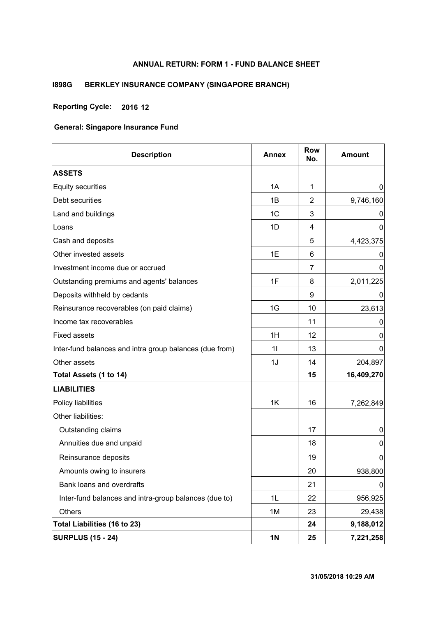## **ANNUAL RETURN: FORM 1 - FUND BALANCE SHEET**

## **I898G BERKLEY INSURANCE COMPANY (SINGAPORE BRANCH)**

## **Reporting Cycle: 2016 12**

| <b>Description</b>                                      | <b>Annex</b>   | <b>Row</b><br>No. | <b>Amount</b> |
|---------------------------------------------------------|----------------|-------------------|---------------|
| <b>ASSETS</b>                                           |                |                   |               |
| <b>Equity securities</b>                                | 1A             | $\mathbf{1}$      | 0             |
| Debt securities                                         | 1B             | 2                 | 9,746,160     |
| Land and buildings                                      | 1 <sub>C</sub> | 3                 | 0             |
| Loans                                                   | 1D             | 4                 | 0             |
| Cash and deposits                                       |                | 5                 | 4,423,375     |
| Other invested assets                                   | 1E             | 6                 | O             |
| Investment income due or accrued                        |                | $\overline{7}$    | 0             |
| Outstanding premiums and agents' balances               | 1F             | 8                 | 2,011,225     |
| Deposits withheld by cedants                            |                | 9                 | O             |
| Reinsurance recoverables (on paid claims)               | 1G             | 10                | 23,613        |
| Income tax recoverables                                 |                | 11                | 0             |
| <b>Fixed assets</b>                                     | 1H             | 12                | 0             |
| Inter-fund balances and intra group balances (due from) | 11             | 13                | 0             |
| Other assets                                            | 1J             | 14                | 204,897       |
| Total Assets (1 to 14)                                  |                | 15                | 16,409,270    |
| <b>LIABILITIES</b>                                      |                |                   |               |
| Policy liabilities                                      | 1K             | 16                | 7,262,849     |
| Other liabilities:                                      |                |                   |               |
| Outstanding claims                                      |                | 17                | 0             |
| Annuities due and unpaid                                |                | 18                | 0             |
| Reinsurance deposits                                    |                | 19                | 0             |
| Amounts owing to insurers                               |                | 20                | 938,800       |
| Bank loans and overdrafts                               |                | 21                | 0             |
| Inter-fund balances and intra-group balances (due to)   | 1L             | 22                | 956,925       |
| <b>Others</b>                                           | 1M             | 23                | 29,438        |
| Total Liabilities (16 to 23)                            |                | 24                | 9,188,012     |
| <b>SURPLUS (15 - 24)</b>                                | <b>1N</b>      | 25                | 7,221,258     |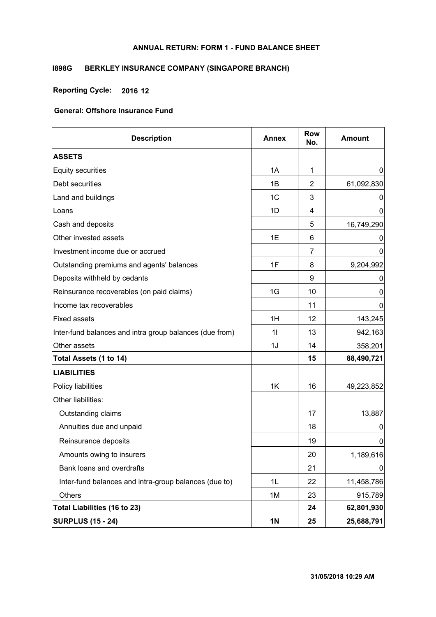## **ANNUAL RETURN: FORM 1 - FUND BALANCE SHEET**

## **I898G BERKLEY INSURANCE COMPANY (SINGAPORE BRANCH)**

## **Reporting Cycle: 2016 12**

| <b>Description</b>                                      | <b>Annex</b>   | <b>Row</b><br>No. | <b>Amount</b> |
|---------------------------------------------------------|----------------|-------------------|---------------|
| <b>ASSETS</b>                                           |                |                   |               |
| <b>Equity securities</b>                                | 1A             | 1                 | $\mathbf 0$   |
| Debt securities                                         | 1B             | 2                 | 61,092,830    |
| Land and buildings                                      | 1 <sub>C</sub> | 3                 | 0             |
| Loans                                                   | 1D             | 4                 | 0             |
| Cash and deposits                                       |                | 5                 | 16,749,290    |
| Other invested assets                                   | 1E             | 6                 | $\Omega$      |
| Investment income due or accrued                        |                | $\overline{7}$    | 0             |
| Outstanding premiums and agents' balances               | 1F             | 8                 | 9,204,992     |
| Deposits withheld by cedants                            |                | 9                 | 0             |
| Reinsurance recoverables (on paid claims)               | 1G             | 10                | 0             |
| Income tax recoverables                                 |                | 11                | 0             |
| <b>Fixed assets</b>                                     | 1H             | 12                | 143,245       |
| Inter-fund balances and intra group balances (due from) | 11             | 13                | 942,163       |
| Other assets                                            | 1J             | 14                | 358,201       |
| Total Assets (1 to 14)                                  |                | 15                | 88,490,721    |
| <b>LIABILITIES</b>                                      |                |                   |               |
| Policy liabilities                                      | 1K             | 16                | 49,223,852    |
| Other liabilities:                                      |                |                   |               |
| Outstanding claims                                      |                | 17                | 13,887        |
| Annuities due and unpaid                                |                | 18                | 0             |
| Reinsurance deposits                                    |                | 19                | 0             |
| Amounts owing to insurers                               |                | 20                | 1,189,616     |
| Bank loans and overdrafts                               |                | 21                | 0             |
| Inter-fund balances and intra-group balances (due to)   | 1L             | 22                | 11,458,786    |
| Others                                                  | 1M             | 23                | 915,789       |
| Total Liabilities (16 to 23)                            |                | 24                | 62,801,930    |
| <b>SURPLUS (15 - 24)</b>                                | <b>1N</b>      | 25                | 25,688,791    |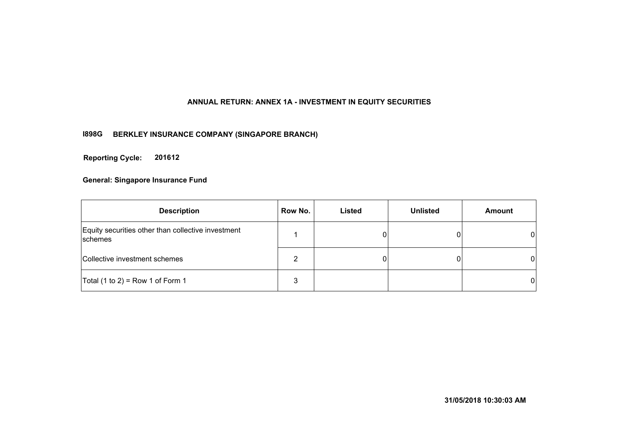## **ANNUAL RETURN: ANNEX 1A - INVESTMENT IN EQUITY SECURITIES**

## **I898G BERKLEY INSURANCE COMPANY (SINGAPORE BRANCH)**

**201612 Reporting Cycle:**

| <b>Description</b>                                            | Row No. | Listed | <b>Unlisted</b> | <b>Amount</b> |
|---------------------------------------------------------------|---------|--------|-----------------|---------------|
| Equity securities other than collective investment<br>schemes |         |        |                 | $\mathbf{0}$  |
| Collective investment schemes                                 | າ       |        |                 | $\Omega$      |
| Total $(1 to 2)$ = Row 1 of Form 1                            | 3       |        |                 | $\mathbf{0}$  |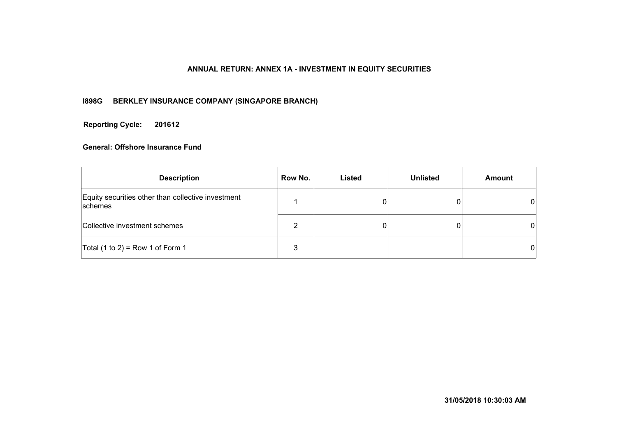## **ANNUAL RETURN: ANNEX 1A - INVESTMENT IN EQUITY SECURITIES**

## **I898G BERKLEY INSURANCE COMPANY (SINGAPORE BRANCH)**

**201612 Reporting Cycle:**

| <b>Description</b>                                            | Row No. | Listed | <b>Unlisted</b> | <b>Amount</b> |
|---------------------------------------------------------------|---------|--------|-----------------|---------------|
| Equity securities other than collective investment<br>schemes |         |        |                 | 01            |
| Collective investment schemes                                 |         |        |                 | 01            |
| Total $(1 to 2)$ = Row 1 of Form 1                            |         |        |                 | 01            |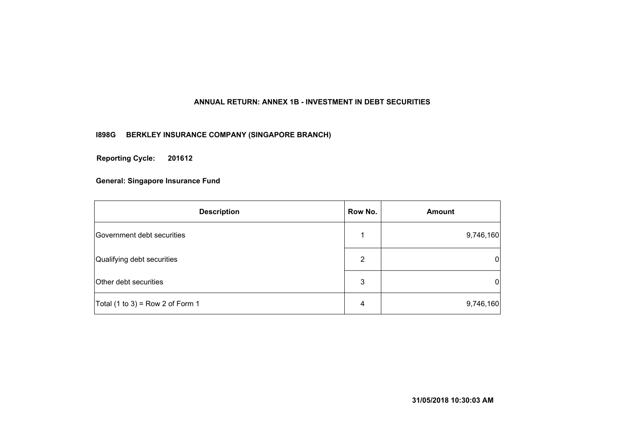## **ANNUAL RETURN: ANNEX 1B - INVESTMENT IN DEBT SECURITIES**

## **I898G BERKLEY INSURANCE COMPANY (SINGAPORE BRANCH)**

**201612 Reporting Cycle:**

| <b>Description</b>                 | Row No. | <b>Amount</b> |
|------------------------------------|---------|---------------|
| Government debt securities         |         | 9,746,160     |
| Qualifying debt securities         | 2       | 0             |
| Other debt securities              | 3       | 0             |
| Total $(1 to 3)$ = Row 2 of Form 1 | 4       | 9,746,160     |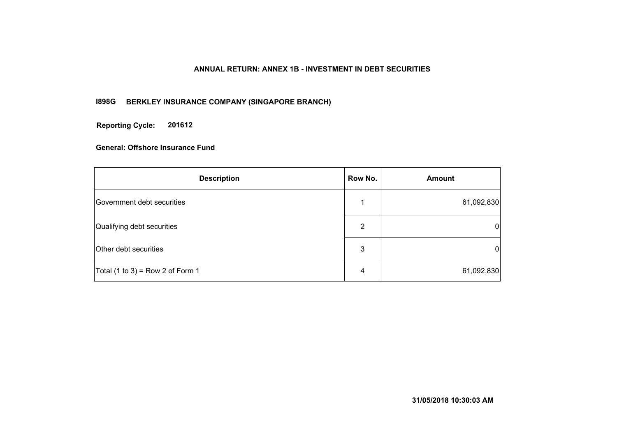## **ANNUAL RETURN: ANNEX 1B - INVESTMENT IN DEBT SECURITIES**

## **I898G BERKLEY INSURANCE COMPANY (SINGAPORE BRANCH)**

**201612 Reporting Cycle:**

| <b>Description</b>                 | Row No. | <b>Amount</b>  |
|------------------------------------|---------|----------------|
| Government debt securities         |         | 61,092,830     |
| Qualifying debt securities         | 2       | $\overline{0}$ |
| Other debt securities              | 3       | $\overline{0}$ |
| Total $(1 to 3)$ = Row 2 of Form 1 | 4       | 61,092,830     |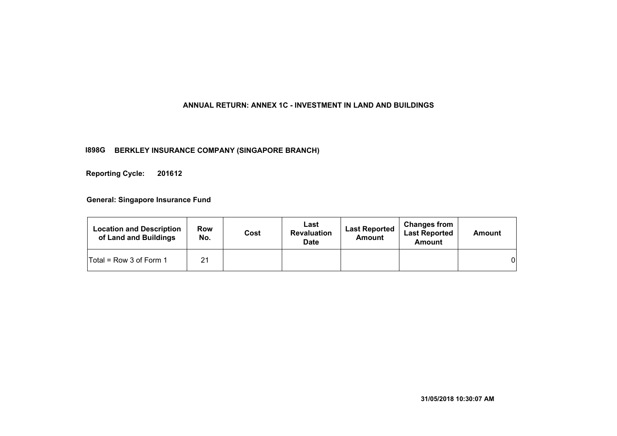#### **ANNUAL RETURN: ANNEX 1C - INVESTMENT IN LAND AND BUILDINGS**

#### **I898G BERKLEY INSURANCE COMPANY (SINGAPORE BRANCH)**

**201612 Reporting Cycle:**

| <b>Location and Description</b><br>of Land and Buildings | <b>Row</b><br>No. | Cost | Last<br><b>Revaluation</b><br><b>Date</b> | <b>Last Reported</b><br>Amount | <b>Changes from</b><br><b>Last Reported</b><br><b>Amount</b> | Amount   |
|----------------------------------------------------------|-------------------|------|-------------------------------------------|--------------------------------|--------------------------------------------------------------|----------|
| $Total = Row 3 of Form 1$                                | 21                |      |                                           |                                |                                                              | $\Omega$ |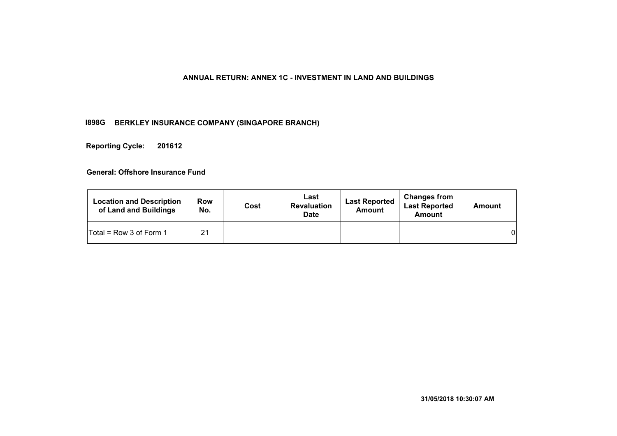## **ANNUAL RETURN: ANNEX 1C - INVESTMENT IN LAND AND BUILDINGS**

## **I898G BERKLEY INSURANCE COMPANY (SINGAPORE BRANCH)**

**201612 Reporting Cycle:**

| <b>Location and Description</b><br>of Land and Buildings | Row<br>No. | Cost | Last<br><b>Revaluation</b><br><b>Date</b> | <b>Last Reported</b><br><b>Amount</b> | <b>Changes from</b><br><b>Last Reported</b><br>Amount | <b>Amount</b> |
|----------------------------------------------------------|------------|------|-------------------------------------------|---------------------------------------|-------------------------------------------------------|---------------|
| Total = Row 3 of Form 1                                  | 21         |      |                                           |                                       |                                                       | 01            |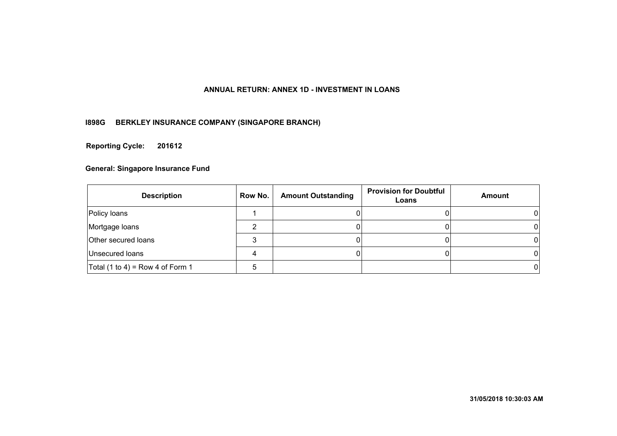## **ANNUAL RETURN: ANNEX 1D - INVESTMENT IN LOANS**

## **I898G BERKLEY INSURANCE COMPANY (SINGAPORE BRANCH)**

**201612 Reporting Cycle:**

| <b>Description</b>                 | Row No. | <b>Amount Outstanding</b> | <b>Provision for Doubtful</b><br>Loans | Amount |
|------------------------------------|---------|---------------------------|----------------------------------------|--------|
| Policy loans                       |         |                           |                                        |        |
| Mortgage loans                     |         |                           |                                        |        |
| <b>Other secured loans</b>         |         |                           |                                        |        |
| Unsecured loans                    |         |                           |                                        |        |
| Total $(1 to 4)$ = Row 4 of Form 1 |         |                           |                                        |        |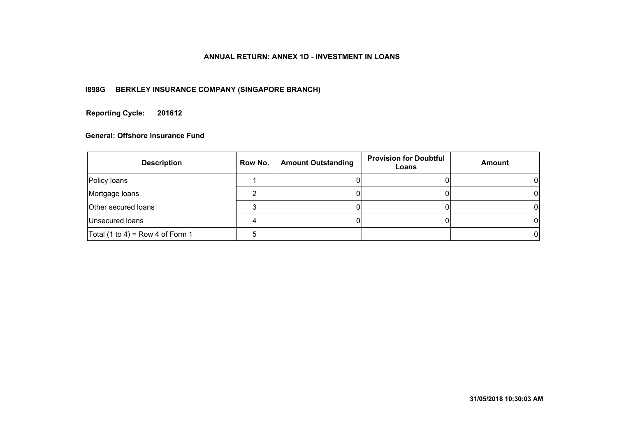## **ANNUAL RETURN: ANNEX 1D - INVESTMENT IN LOANS**

## **I898G BERKLEY INSURANCE COMPANY (SINGAPORE BRANCH)**

#### **201612 Reporting Cycle:**

| <b>Description</b>                 | Row No. | <b>Amount Outstanding</b> | <b>Provision for Doubtful</b><br>Loans | Amount |
|------------------------------------|---------|---------------------------|----------------------------------------|--------|
| Policy loans                       |         |                           |                                        |        |
| Mortgage loans                     |         |                           |                                        |        |
| Other secured loans                |         |                           |                                        |        |
| Unsecured loans                    |         |                           |                                        |        |
| Total $(1 to 4)$ = Row 4 of Form 1 |         |                           |                                        |        |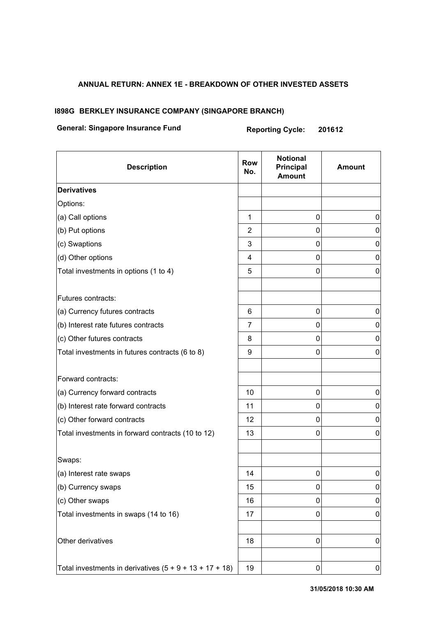## **ANNUAL RETURN: ANNEX 1E - BREAKDOWN OF OTHER INVESTED ASSETS**

#### **I898G BERKLEY INSURANCE COMPANY (SINGAPORE BRANCH)**

## **General: Singapore Insurance Fund Reporting Cycle: 201612**

| <b>Description</b>                                        | <b>Row</b><br>No. | <b>Notional</b><br>Principal<br><b>Amount</b> | <b>Amount</b> |
|-----------------------------------------------------------|-------------------|-----------------------------------------------|---------------|
| <b>Derivatives</b>                                        |                   |                                               |               |
| Options:                                                  |                   |                                               |               |
| (a) Call options                                          | 1                 | 0                                             | 0             |
| (b) Put options                                           | 2                 | 0                                             | 0             |
| (c) Swaptions                                             | 3                 | 0                                             | 0             |
| (d) Other options                                         | 4                 | 0                                             | 0             |
| Total investments in options (1 to 4)                     | 5                 | 0                                             | 0             |
| Futures contracts:                                        |                   |                                               |               |
| (a) Currency futures contracts                            | 6                 | 0                                             | 0             |
| (b) Interest rate futures contracts                       | 7                 | 0                                             | $\pmb{0}$     |
| (c) Other futures contracts                               | 8                 | $\mathbf 0$                                   | 0             |
| Total investments in futures contracts (6 to 8)           | 9                 | 0                                             | 0             |
| Forward contracts:                                        |                   |                                               |               |
| (a) Currency forward contracts                            | 10                | 0                                             | 0             |
| (b) Interest rate forward contracts                       | 11                | 0                                             | $\pmb{0}$     |
| (c) Other forward contracts                               | 12                | 0                                             | 0             |
| Total investments in forward contracts (10 to 12)         | 13                | 0                                             | 0             |
| Swaps:                                                    |                   |                                               |               |
| (a) Interest rate swaps                                   | 14                | 0                                             | 0             |
| (b) Currency swaps                                        | 15                | 0                                             | $\pmb{0}$     |
| (c) Other swaps                                           | 16                | 0                                             | 0             |
| Total investments in swaps (14 to 16)                     | 17                | 0                                             | 0             |
| Other derivatives                                         | 18                | 0                                             | $\pmb{0}$     |
| Total investments in derivatives $(5 + 9 + 13 + 17 + 18)$ | 19                | 0                                             | 0             |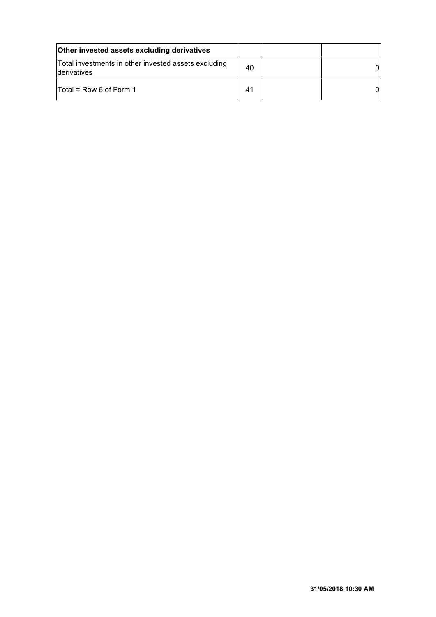| <b>Other invested assets excluding derivatives</b>                   |                |    |
|----------------------------------------------------------------------|----------------|----|
| Total investments in other invested assets excluding<br>Iderivatives | 40             | ΩI |
| Total = Row 6 of Form 1                                              | 4 <sup>1</sup> | ΩI |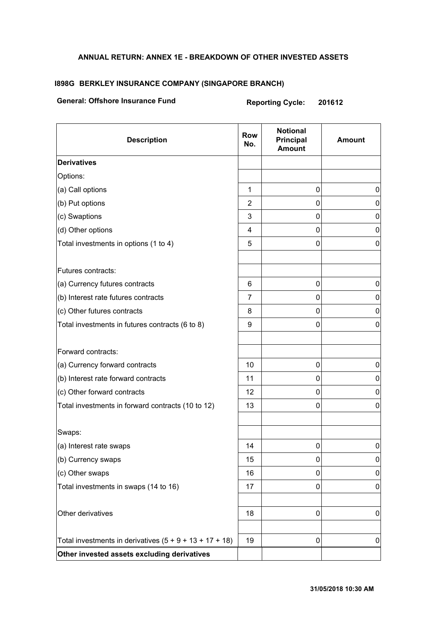## **ANNUAL RETURN: ANNEX 1E - BREAKDOWN OF OTHER INVESTED ASSETS**

## **I898G BERKLEY INSURANCE COMPANY (SINGAPORE BRANCH)**

## **General: Offshore Insurance Fund Reporting Cycle: 201612**

| <b>Description</b>                                        | <b>Row</b><br>No. | <b>Notional</b><br>Principal<br><b>Amount</b> | <b>Amount</b> |
|-----------------------------------------------------------|-------------------|-----------------------------------------------|---------------|
| <b>Derivatives</b>                                        |                   |                                               |               |
| Options:                                                  |                   |                                               |               |
| (a) Call options                                          | 1                 | 0                                             | 0             |
| (b) Put options                                           | 2                 | 0                                             | 0             |
| (c) Swaptions                                             | 3                 | 0                                             | 0             |
| (d) Other options                                         | 4                 | 0                                             | 0             |
| Total investments in options (1 to 4)                     | 5                 | 0                                             | 0             |
| Futures contracts:                                        |                   |                                               |               |
| (a) Currency futures contracts                            | 6                 | 0                                             | 0             |
| (b) Interest rate futures contracts                       | $\overline{7}$    | 0                                             | 0             |
| (c) Other futures contracts                               | 8                 | 0                                             | 0             |
| Total investments in futures contracts (6 to 8)           | 9                 | 0                                             | 0             |
| Forward contracts:                                        |                   |                                               |               |
| (a) Currency forward contracts                            | 10                | 0                                             | 0             |
| (b) Interest rate forward contracts                       | 11                | 0                                             | 0             |
| (c) Other forward contracts                               | 12                | 0                                             | 0             |
| Total investments in forward contracts (10 to 12)         | 13                | 0                                             | 0             |
| Swaps:                                                    |                   |                                               |               |
| (a) Interest rate swaps                                   | 14                | 0                                             | 0             |
| (b) Currency swaps                                        | 15                | 0                                             | 0             |
| (c) Other swaps                                           | 16                | 0                                             | 0             |
| Total investments in swaps (14 to 16)                     | 17                | 0                                             | 0             |
| Other derivatives                                         | 18                | 0                                             | $\pmb{0}$     |
| Total investments in derivatives $(5 + 9 + 13 + 17 + 18)$ | 19                | 0                                             | 0             |
| Other invested assets excluding derivatives               |                   |                                               |               |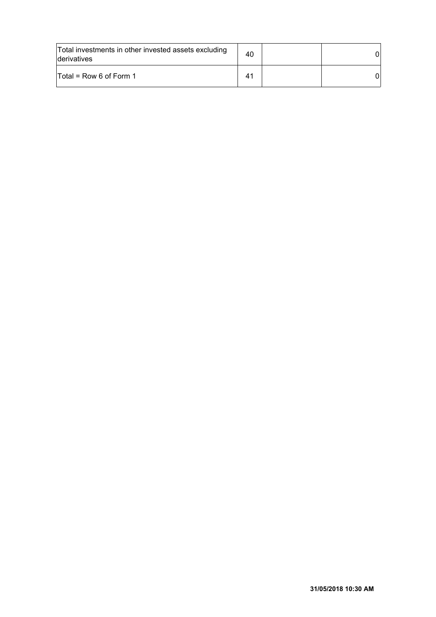| Total investments in other invested assets excluding<br>Iderivatives | 40             |  |
|----------------------------------------------------------------------|----------------|--|
| $\textsf{Total}$ = Row 6 of Form 1                                   | 4 <sup>′</sup> |  |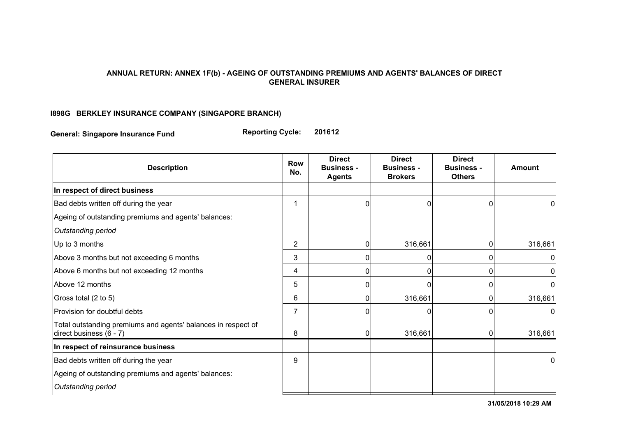## **ANNUAL RETURN: ANNEX 1F(b) - AGEING OF OUTSTANDING PREMIUMS AND AGENTS' BALANCES OF DIRECT GENERAL INSURER**

## **I898G BERKLEY INSURANCE COMPANY (SINGAPORE BRANCH)**

**General: Singapore Insurance Fund Reporting Cycle: 201612**

| <b>Description</b>                                                                       | <b>Row</b><br>No. | <b>Direct</b><br><b>Business -</b><br><b>Agents</b> | <b>Direct</b><br><b>Business -</b><br><b>Brokers</b> | <b>Direct</b><br><b>Business -</b><br><b>Others</b> | <b>Amount</b> |
|------------------------------------------------------------------------------------------|-------------------|-----------------------------------------------------|------------------------------------------------------|-----------------------------------------------------|---------------|
| In respect of direct business                                                            |                   |                                                     |                                                      |                                                     |               |
| Bad debts written off during the year                                                    | 1                 |                                                     | 0                                                    | 0                                                   | 0             |
| Ageing of outstanding premiums and agents' balances:                                     |                   |                                                     |                                                      |                                                     |               |
| Outstanding period                                                                       |                   |                                                     |                                                      |                                                     |               |
| Up to 3 months                                                                           | $\overline{2}$    | $\Omega$                                            | 316,661                                              | 0                                                   | 316,661       |
| Above 3 months but not exceeding 6 months                                                | 3                 |                                                     | 0                                                    | 0                                                   | 0             |
| Above 6 months but not exceeding 12 months                                               | 4                 | 0                                                   | 0                                                    | 0                                                   | 0             |
| Above 12 months                                                                          | 5                 | 0                                                   | 0                                                    | 0                                                   | $\mathbf{0}$  |
| Gross total (2 to 5)                                                                     | 6                 | 0                                                   | 316,661                                              | 0                                                   | 316,661       |
| Provision for doubtful debts                                                             | $\overline{7}$    |                                                     |                                                      | 0                                                   | 0             |
| Total outstanding premiums and agents' balances in respect of<br>direct business (6 - 7) | 8                 | 0                                                   | 316,661                                              | 0                                                   | 316,661       |
| In respect of reinsurance business                                                       |                   |                                                     |                                                      |                                                     |               |
| Bad debts written off during the year                                                    | 9                 |                                                     |                                                      |                                                     | 0             |
| Ageing of outstanding premiums and agents' balances:                                     |                   |                                                     |                                                      |                                                     |               |
| Outstanding period                                                                       |                   |                                                     |                                                      |                                                     |               |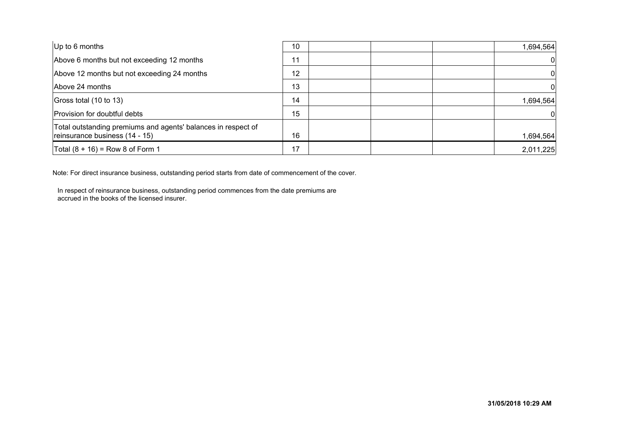| Up to 6 months                                                                                  | 10 | 1,694,564 |
|-------------------------------------------------------------------------------------------------|----|-----------|
| Above 6 months but not exceeding 12 months                                                      | 11 |           |
| Above 12 months but not exceeding 24 months                                                     | 12 |           |
| Above 24 months                                                                                 | 13 |           |
| Gross total (10 to 13)                                                                          | 14 | 1,694,564 |
| Provision for doubtful debts                                                                    | 15 |           |
| Total outstanding premiums and agents' balances in respect of<br>reinsurance business (14 - 15) | 16 | 1,694,564 |
| Total $(8 + 16) =$ Row 8 of Form 1                                                              | 17 | 2,011,225 |

Note: For direct insurance business, outstanding period starts from date of commencement of the cover.

In respect of reinsurance business, outstanding period commences from the date premiums are accrued in the books of the licensed insurer.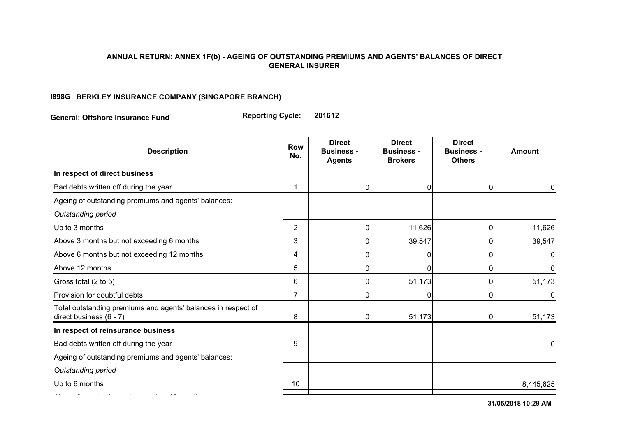#### **ANNUAL RETURN: ANNEX 1F(b) - AGEING OF OUTSTANDING PREMIUMS AND AGENTS' BALANCES OF DIRECT GENERAL INSURER**

## **I898G BERKLEY INSURANCE COMPANY (SINGAPORE BRANCH)**

**General: Offshore Insurance Fund Reporting Cycle: 201612**

| <b>Row</b><br>No. | <b>Direct</b><br><b>Business -</b><br><b>Agents</b> | <b>Direct</b><br><b>Business -</b><br><b>Brokers</b> | <b>Direct</b><br><b>Business -</b><br><b>Others</b> | <b>Amount</b>              |
|-------------------|-----------------------------------------------------|------------------------------------------------------|-----------------------------------------------------|----------------------------|
|                   |                                                     |                                                      |                                                     |                            |
| 1                 | 0                                                   | 0                                                    |                                                     | 0                          |
|                   |                                                     |                                                      |                                                     |                            |
|                   |                                                     |                                                      |                                                     |                            |
| $\overline{2}$    | 0                                                   | 11,626                                               |                                                     | 11,626                     |
| 3                 | 0                                                   | 39,547                                               |                                                     | 39,547                     |
| 4                 | 0                                                   | 0                                                    | 0                                                   | 0                          |
| 5                 | 0                                                   | U                                                    | 0                                                   | $\overline{0}$             |
| 6                 | $\Omega$                                            | 51,173                                               |                                                     | 51,173                     |
| $\overline{7}$    | 0                                                   |                                                      |                                                     | $\Omega$                   |
| 8                 | $\mathbf 0$                                         | 51,173                                               |                                                     | 51,173                     |
|                   |                                                     |                                                      |                                                     |                            |
| 9                 |                                                     |                                                      |                                                     | 0                          |
|                   |                                                     |                                                      |                                                     |                            |
|                   |                                                     |                                                      |                                                     |                            |
| 10                |                                                     |                                                      |                                                     | 8,445,625                  |
|                   |                                                     |                                                      |                                                     | 0<br>0<br>0<br>0<br>0<br>0 |

**31/05/2018 10:29 AM**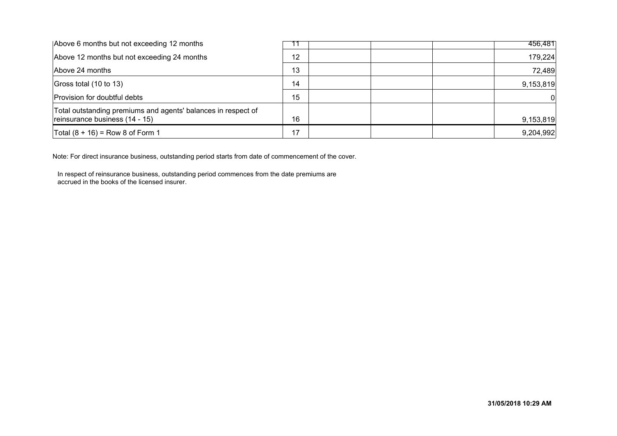| Above 6 months but not exceeding 12 months                                                      |    | 456,481   |
|-------------------------------------------------------------------------------------------------|----|-----------|
| Above 12 months but not exceeding 24 months                                                     | 12 | 179,224   |
| Above 24 months                                                                                 | 13 | 72,489    |
| Gross total (10 to 13)                                                                          | 14 | 9,153,819 |
| Provision for doubtful debts                                                                    | 15 |           |
| Total outstanding premiums and agents' balances in respect of<br>reinsurance business (14 - 15) | 16 | 9,153,819 |
| Total $(8 + 16) =$ Row 8 of Form 1                                                              | 17 | 9,204,992 |

Note: For direct insurance business, outstanding period starts from date of commencement of the cover.

In respect of reinsurance business, outstanding period commences from the date premiums are accrued in the books of the licensed insurer.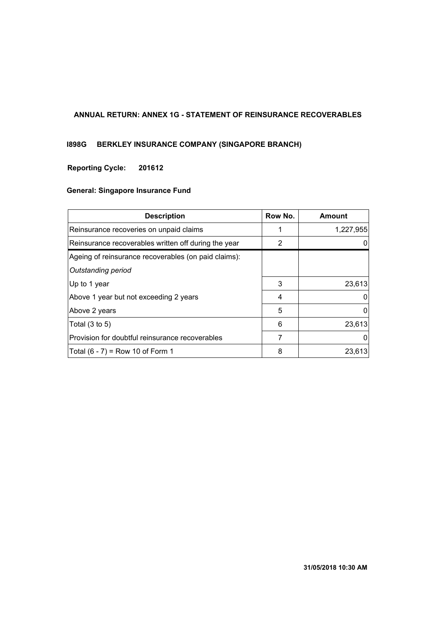## **ANNUAL RETURN: ANNEX 1G - STATEMENT OF REINSURANCE RECOVERABLES**

## **I898G BERKLEY INSURANCE COMPANY (SINGAPORE BRANCH)**

## **201612 Reporting Cycle:**

| <b>Description</b>                                   | Row No. | Amount    |
|------------------------------------------------------|---------|-----------|
| Reinsurance recoveries on unpaid claims              | 1       | 1,227,955 |
| Reinsurance recoverables written off during the year | 2       |           |
| Ageing of reinsurance recoverables (on paid claims): |         |           |
| Outstanding period                                   |         |           |
| Up to 1 year                                         | 3       | 23,613    |
| Above 1 year but not exceeding 2 years               | 4       | $\Omega$  |
| Above 2 years                                        | 5       | 0         |
| Total $(3 \text{ to } 5)$                            | 6       | 23,613    |
| Provision for doubtful reinsurance recoverables      | 7       |           |
| Total $(6 - 7) = Row 10$ of Form 1                   | 8       | 23,613    |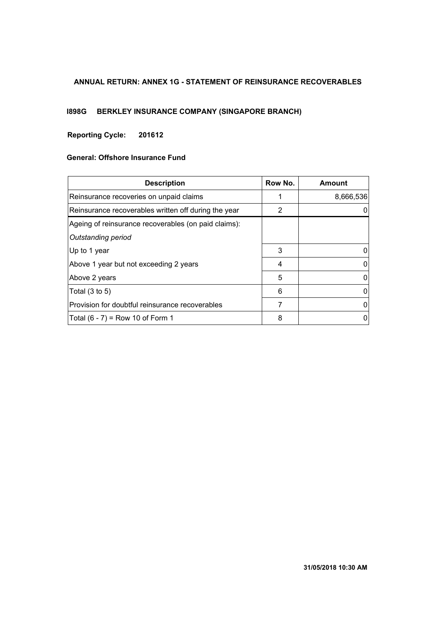## **ANNUAL RETURN: ANNEX 1G - STATEMENT OF REINSURANCE RECOVERABLES**

# **I898G BERKLEY INSURANCE COMPANY (SINGAPORE BRANCH)**

## **201612 Reporting Cycle:**

| <b>Description</b>                                   | Row No. | Amount    |
|------------------------------------------------------|---------|-----------|
| Reinsurance recoveries on unpaid claims              |         | 8,666,536 |
| Reinsurance recoverables written off during the year | 2       |           |
| Ageing of reinsurance recoverables (on paid claims): |         |           |
| Outstanding period                                   |         |           |
| ∣Up to 1 year                                        | 3       |           |
| Above 1 year but not exceeding 2 years               | 4       | 0         |
| Above 2 years                                        | 5       |           |
| Total $(3 \text{ to } 5)$                            | 6       | 0         |
| Provision for doubtful reinsurance recoverables      | 7       | 0         |
| Total $(6 - 7) = Row 10$ of Form 1                   | 8       | 0         |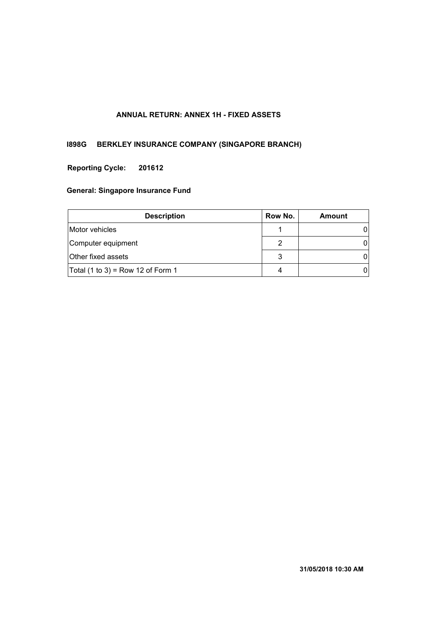## **ANNUAL RETURN: ANNEX 1H - FIXED ASSETS**

## **I898G BERKLEY INSURANCE COMPANY (SINGAPORE BRANCH)**

## **201612 Reporting Cycle:**

| <b>Description</b>                | Row No. | Amount |
|-----------------------------------|---------|--------|
| Motor vehicles                    |         |        |
| Computer equipment                | 2       |        |
| Other fixed assets                | 3       |        |
| Total (1 to 3) = Row 12 of Form 1 | 4       |        |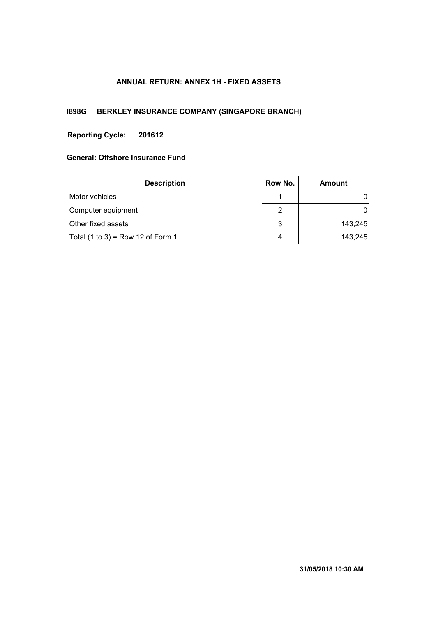## **ANNUAL RETURN: ANNEX 1H - FIXED ASSETS**

## **I898G BERKLEY INSURANCE COMPANY (SINGAPORE BRANCH)**

## **201612 Reporting Cycle:**

| <b>Description</b>                | Row No. | Amount  |
|-----------------------------------|---------|---------|
| Motor vehicles                    |         |         |
| Computer equipment                | 2       |         |
| Other fixed assets                | 3       | 143,245 |
| Total (1 to 3) = Row 12 of Form 1 | 4       | 143,245 |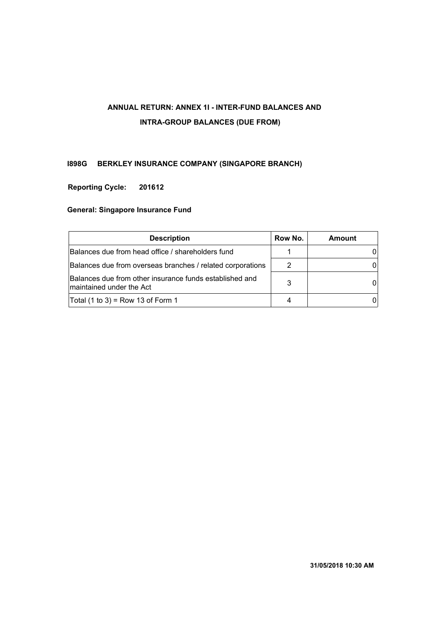# **ANNUAL RETURN: ANNEX 1I - INTER-FUND BALANCES AND INTRA-GROUP BALANCES (DUE FROM)**

## **I898G BERKLEY INSURANCE COMPANY (SINGAPORE BRANCH)**

## **201612 Reporting Cycle:**

| <b>Description</b>                                                                  | Row No. | <b>Amount</b> |
|-------------------------------------------------------------------------------------|---------|---------------|
| Balances due from head office / shareholders fund                                   |         |               |
| Balances due from overseas branches / related corporations                          |         |               |
| Balances due from other insurance funds established and<br>maintained under the Act | 3       |               |
| Total (1 to 3) = Row 13 of Form 1                                                   |         |               |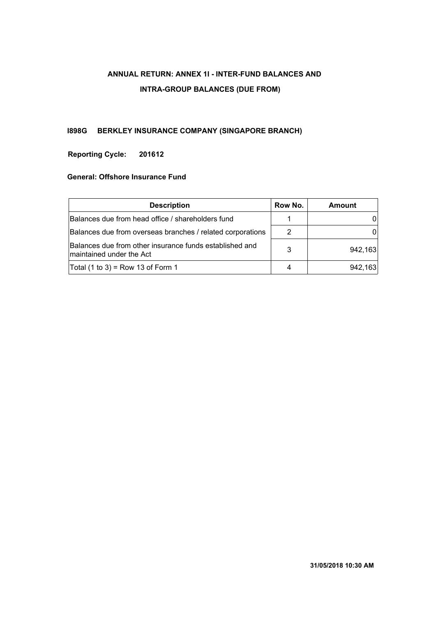# **ANNUAL RETURN: ANNEX 1I - INTER-FUND BALANCES AND INTRA-GROUP BALANCES (DUE FROM)**

## **I898G BERKLEY INSURANCE COMPANY (SINGAPORE BRANCH)**

## **201612 Reporting Cycle:**

| <b>Description</b>                                                                  | Row No. | Amount  |
|-------------------------------------------------------------------------------------|---------|---------|
| Balances due from head office / shareholders fund                                   |         |         |
| Balances due from overseas branches / related corporations                          | 2       |         |
| Balances due from other insurance funds established and<br>maintained under the Act | 3       | 942,163 |
| Total (1 to 3) = Row 13 of Form 1                                                   |         | 942,163 |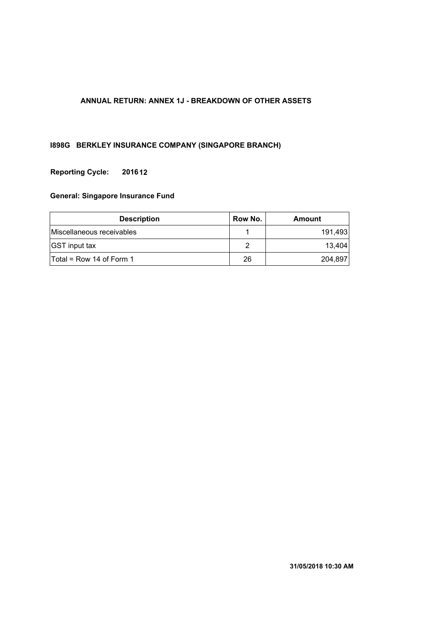## **ANNUAL RETURN: ANNEX 1J - BREAKDOWN OF OTHER ASSETS**

## **I898G BERKLEY INSURANCE COMPANY (SINGAPORE BRANCH)**

## **201612 Reporting Cycle:**

| <b>Description</b>         | Row No. | Amount  |
|----------------------------|---------|---------|
| Miscellaneous receivables  |         | 191.493 |
| <b>GST</b> input tax       |         | 13.404  |
| $Total = Row 14 of Form 1$ | 26      | 204,897 |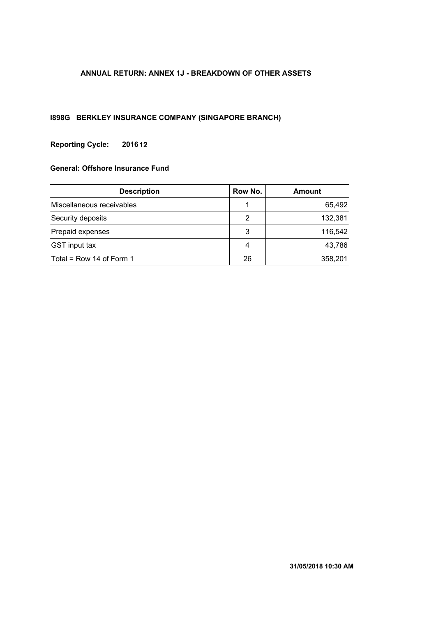## **ANNUAL RETURN: ANNEX 1J - BREAKDOWN OF OTHER ASSETS**

## **I898G BERKLEY INSURANCE COMPANY (SINGAPORE BRANCH)**

## **201612 Reporting Cycle:**

| <b>Description</b>        | Row No. | Amount  |
|---------------------------|---------|---------|
| Miscellaneous receivables |         | 65,492  |
| Security deposits         | 2       | 132,381 |
| Prepaid expenses          | 3       | 116,542 |
| <b>GST</b> input tax      | 4       | 43,786  |
| Total = Row 14 of Form 1  | 26      | 358,201 |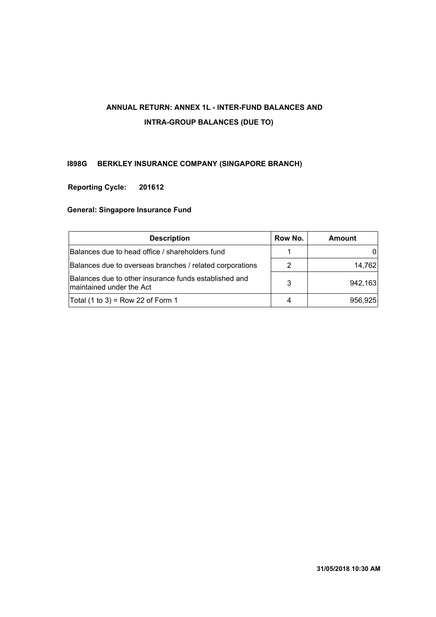# **ANNUAL RETURN: ANNEX 1L - INTER-FUND BALANCES AND INTRA-GROUP BALANCES (DUE TO)**

## **I898G BERKLEY INSURANCE COMPANY (SINGAPORE BRANCH)**

## **201612 Reporting Cycle:**

| Row No.<br><b>Description</b>                                                     |  | <b>Amount</b> |
|-----------------------------------------------------------------------------------|--|---------------|
| Balances due to head office / shareholders fund                                   |  |               |
| Balances due to overseas branches / related corporations                          |  | 14,762        |
| Balances due to other insurance funds established and<br>maintained under the Act |  | 942,163       |
| Total (1 to 3) = Row 22 of Form 1                                                 |  | 956,925       |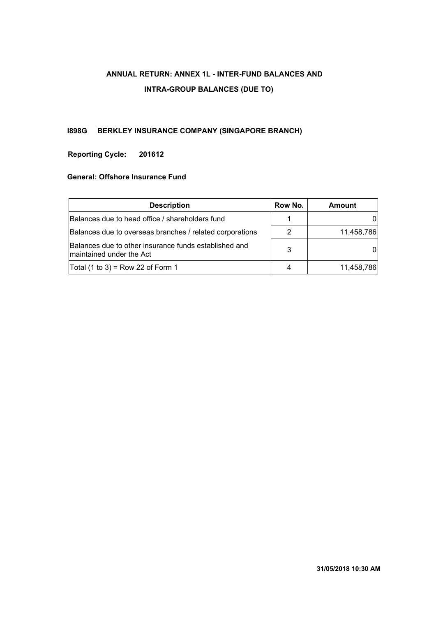# **ANNUAL RETURN: ANNEX 1L - INTER-FUND BALANCES AND INTRA-GROUP BALANCES (DUE TO)**

## **I898G BERKLEY INSURANCE COMPANY (SINGAPORE BRANCH)**

## **201612 Reporting Cycle:**

| <b>Description</b><br>Row No.                                                     |  | Amount     |
|-----------------------------------------------------------------------------------|--|------------|
| Balances due to head office / shareholders fund                                   |  |            |
| Balances due to overseas branches / related corporations                          |  | 11,458,786 |
| Balances due to other insurance funds established and<br>maintained under the Act |  |            |
| Total $(1 to 3)$ = Row 22 of Form 1                                               |  | 11,458,786 |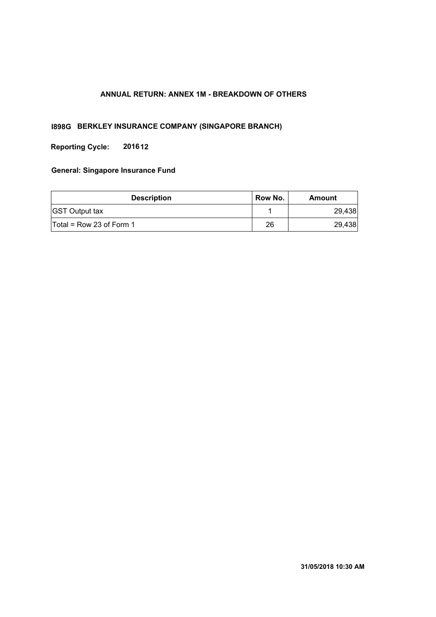## **ANNUAL RETURN: ANNEX 1M - BREAKDOWN OF OTHERS**

## **I898G BERKLEY INSURANCE COMPANY (SINGAPORE BRANCH)**

**Reporting Cycle: 201612**

| <b>Description</b>         | Row No. | Amount |
|----------------------------|---------|--------|
| <b>GST Output tax</b>      |         | 29.438 |
| $Total = Row 23 of Form 1$ | 26      | 29,438 |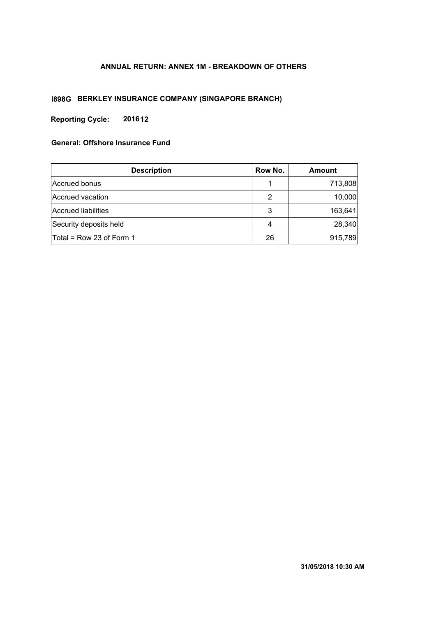## **ANNUAL RETURN: ANNEX 1M - BREAKDOWN OF OTHERS**

## **I898G BERKLEY INSURANCE COMPANY (SINGAPORE BRANCH)**

**Reporting Cycle: 201612**

| <b>Description</b>       | Row No. | <b>Amount</b> |
|--------------------------|---------|---------------|
| Accrued bonus            |         | 713,808       |
| Accrued vacation         | 2       | 10,000        |
| Accrued liabilities      | 3       | 163,641       |
| Security deposits held   | 4       | 28,340        |
| Total = Row 23 of Form 1 | 26      | 915,789       |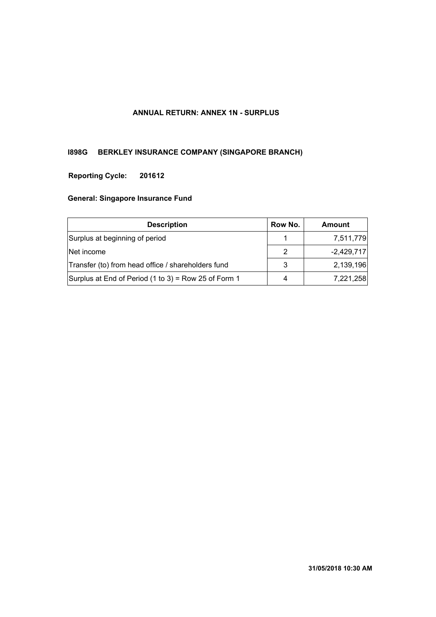## **ANNUAL RETURN: ANNEX 1N - SURPLUS**

# **I898G BERKLEY INSURANCE COMPANY (SINGAPORE BRANCH)**

## **201612 Reporting Cycle:**

| <b>Description</b>                                   |   | Amount       |
|------------------------------------------------------|---|--------------|
| Surplus at beginning of period                       |   | 7,511,779    |
| Net income                                           | 2 | $-2,429,717$ |
| Transfer (to) from head office / shareholders fund   | 3 | 2,139,196    |
| Surplus at End of Period (1 to 3) = Row 25 of Form 1 | 4 | 7,221,258    |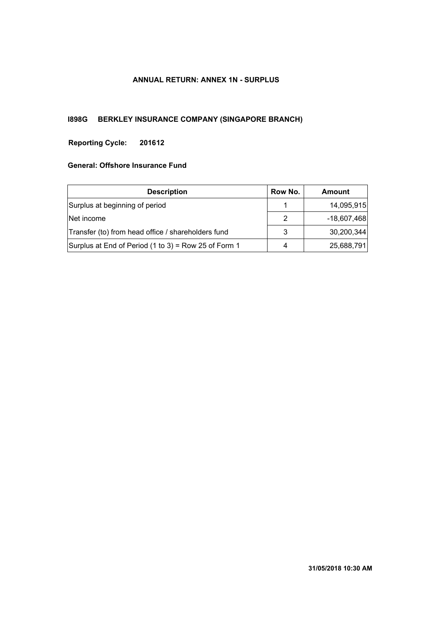## **ANNUAL RETURN: ANNEX 1N - SURPLUS**

## **I898G BERKLEY INSURANCE COMPANY (SINGAPORE BRANCH)**

## **201612 Reporting Cycle:**

| <b>Description</b>                                   |   | Amount        |
|------------------------------------------------------|---|---------------|
| Surplus at beginning of period                       |   | 14,095,915    |
| Net income                                           |   | $-18,607,468$ |
| Transfer (to) from head office / shareholders fund   |   | 30,200,344    |
| Surplus at End of Period (1 to 3) = Row 25 of Form 1 | 4 | 25,688,791    |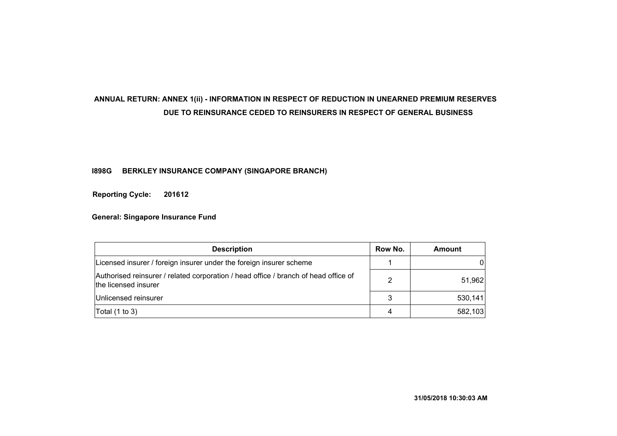# **ANNUAL RETURN: ANNEX 1(ii) - INFORMATION IN RESPECT OF REDUCTION IN UNEARNED PREMIUM RESERVES DUE TO REINSURANCE CEDED TO REINSURERS IN RESPECT OF GENERAL BUSINESS**

## **I898G BERKLEY INSURANCE COMPANY (SINGAPORE BRANCH)**

**201612 Reporting Cycle:**

| <b>Description</b>                                                                                          |   | Amount  |
|-------------------------------------------------------------------------------------------------------------|---|---------|
| Licensed insurer / foreign insurer under the foreign insurer scheme                                         |   | 0       |
| Authorised reinsurer / related corporation / head office / branch of head office of<br>the licensed insurer | 2 | 51,962  |
| Unlicensed reinsurer                                                                                        | 3 | 530,141 |
| Total $(1 to 3)$                                                                                            | 4 | 582,103 |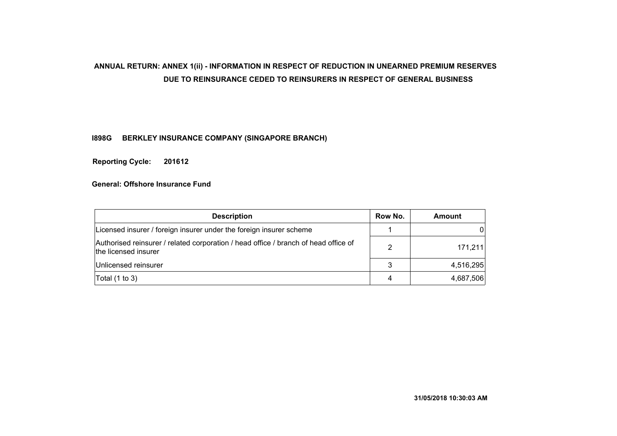## **ANNUAL RETURN: ANNEX 1(ii) - INFORMATION IN RESPECT OF REDUCTION IN UNEARNED PREMIUM RESERVES DUE TO REINSURANCE CEDED TO REINSURERS IN RESPECT OF GENERAL BUSINESS**

## **I898G BERKLEY INSURANCE COMPANY (SINGAPORE BRANCH)**

**201612 Reporting Cycle:**

| <b>Description</b>                                                                                          |   | Amount    |
|-------------------------------------------------------------------------------------------------------------|---|-----------|
| Licensed insurer / foreign insurer under the foreign insurer scheme                                         |   | 0         |
| Authorised reinsurer / related corporation / head office / branch of head office of<br>the licensed insurer | 2 | 171,211   |
| Unlicensed reinsurer                                                                                        | 3 | 4,516,295 |
| Total $(1 to 3)$                                                                                            | 4 | 4,687,506 |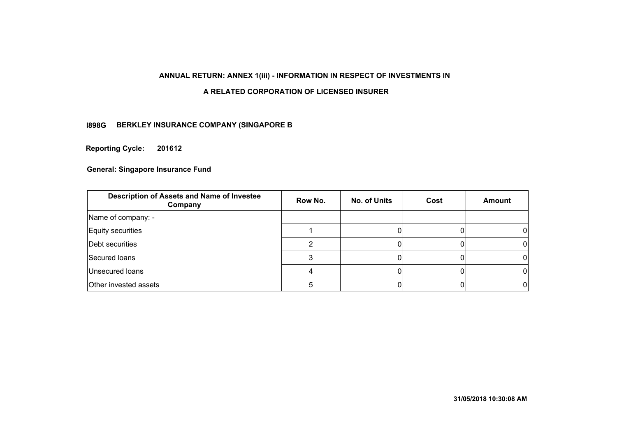## **ANNUAL RETURN: ANNEX 1(iii) - INFORMATION IN RESPECT OF INVESTMENTS IN**

## **A RELATED CORPORATION OF LICENSED INSURER**

## **BERKLEY INSURANCE COMPANY (SINGAPORE B I898G**

**Reporting Cycle: 201612**

| Description of Assets and Name of Investee<br>Company | Row No. | <b>No. of Units</b> | Cost | <b>Amount</b> |
|-------------------------------------------------------|---------|---------------------|------|---------------|
| Name of company: -                                    |         |                     |      |               |
| Equity securities                                     |         |                     |      |               |
| Debt securities                                       |         |                     |      |               |
| Secured Ioans                                         |         |                     |      |               |
| Unsecured loans                                       |         |                     |      |               |
| Other invested assets                                 | 5       |                     |      |               |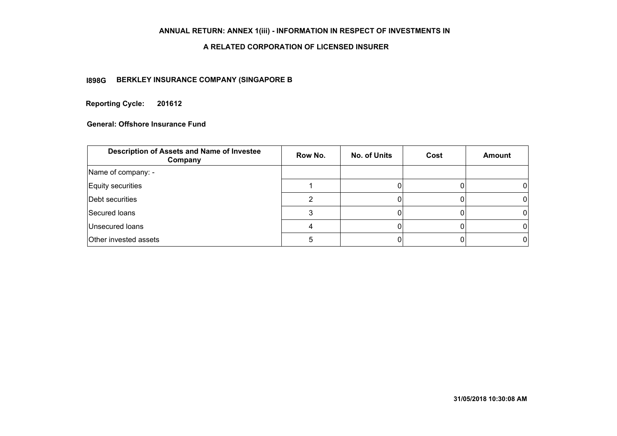## **ANNUAL RETURN: ANNEX 1(iii) - INFORMATION IN RESPECT OF INVESTMENTS IN**

#### **A RELATED CORPORATION OF LICENSED INSURER**

## **BERKLEY INSURANCE COMPANY (SINGAPORE B I898G**

**Reporting Cycle: 201612**

| Description of Assets and Name of Investee<br>Company | Row No. | <b>No. of Units</b> | Cost | <b>Amount</b> |
|-------------------------------------------------------|---------|---------------------|------|---------------|
| Name of company: -                                    |         |                     |      |               |
| Equity securities                                     |         |                     |      |               |
| Debt securities                                       |         |                     |      |               |
| Secured Ioans                                         |         |                     |      |               |
| Unsecured loans                                       |         |                     |      | O             |
| Other invested assets                                 |         |                     |      |               |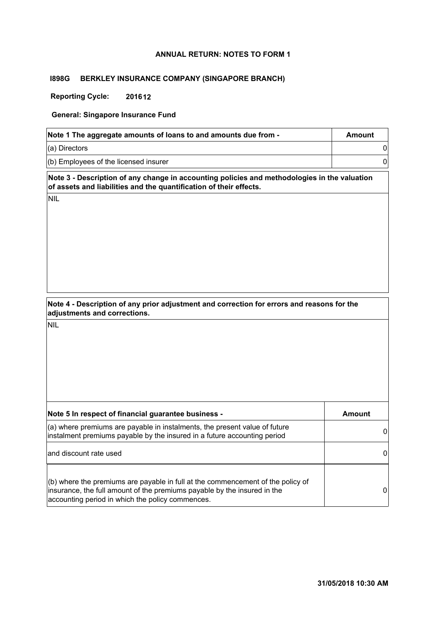#### **ANNUAL RETURN: NOTES TO FORM 1**

#### **I898G BERKLEY INSURANCE COMPANY (SINGAPORE BRANCH)**

**Reporting Cycle: 201612**

**General: Singapore Insurance Fund**

| Note 1 The aggregate amounts of loans to and amounts due from - | Amount |
|-----------------------------------------------------------------|--------|
| $(a)$ Directors                                                 |        |
| $(6)$ Employees of the licensed insurer                         |        |

**Note 3 - Description of any change in accounting policies and methodologies in the valuation of assets and liabilities and the quantification of their effects.**

NIL

| Note 4 - Description of any prior adjustment and correction for errors and reasons for the |  |
|--------------------------------------------------------------------------------------------|--|
| adjustments and corrections.                                                               |  |

| Note 5 In respect of financial guarantee business -                                                                                                                                                               | Amount |
|-------------------------------------------------------------------------------------------------------------------------------------------------------------------------------------------------------------------|--------|
| (a) where premiums are payable in instalments, the present value of future<br>instalment premiums payable by the insured in a future accounting period                                                            |        |
| and discount rate used                                                                                                                                                                                            |        |
| $(6)$ where the premiums are payable in full at the commencement of the policy of<br>insurance, the full amount of the premiums payable by the insured in the<br>accounting period in which the policy commences. | 0      |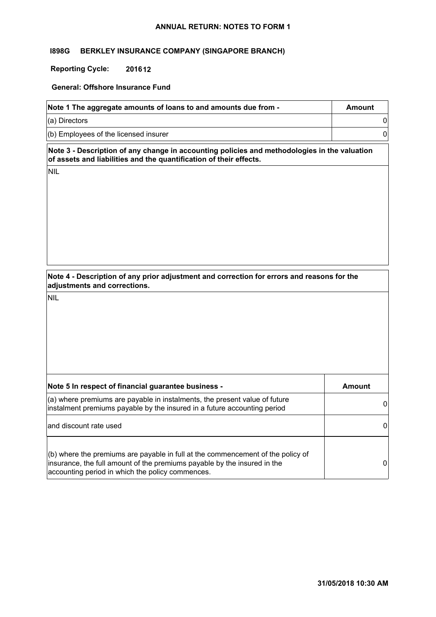#### **ANNUAL RETURN: NOTES TO FORM 1**

#### **I898G BERKLEY INSURANCE COMPANY (SINGAPORE BRANCH)**

#### **Reporting Cycle: 201612**

#### **General: Offshore Insurance Fund**

| Note 1 The aggregate amounts of loans to and amounts due from - | Amount |
|-----------------------------------------------------------------|--------|
| $(a)$ Directors                                                 |        |
| $(6)$ Employees of the licensed insurer                         |        |

**Note 3 - Description of any change in accounting policies and methodologies in the valuation of assets and liabilities and the quantification of their effects.**

NIL

**Note 4 - Description of any prior adjustment and correction for errors and reasons for the adjustments and corrections.**

| Note 5 In respect of financial guarantee business -                                                                                                                                                             | Amount |
|-----------------------------------------------------------------------------------------------------------------------------------------------------------------------------------------------------------------|--------|
| (a) where premiums are payable in instalments, the present value of future<br>instalment premiums payable by the insured in a future accounting period                                                          | 0      |
| and discount rate used                                                                                                                                                                                          | 0      |
| (b) where the premiums are payable in full at the commencement of the policy of<br>insurance, the full amount of the premiums payable by the insured in the<br>accounting period in which the policy commences. | 0      |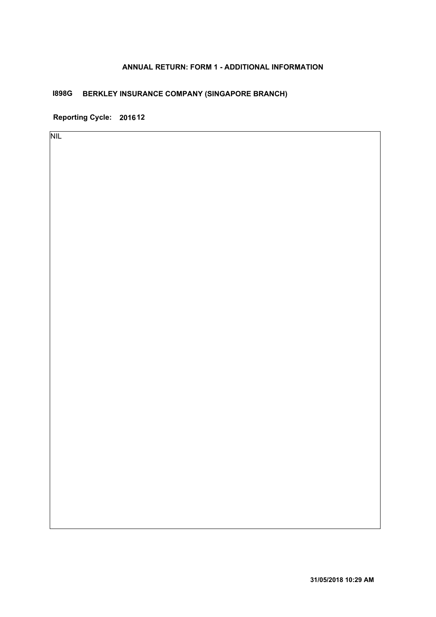## **ANNUAL RETURN: FORM 1 - ADDITIONAL INFORMATION**

# **I898G BERKLEY INSURANCE COMPANY (SINGAPORE BRANCH)**

**Reporting Cycle: 201612**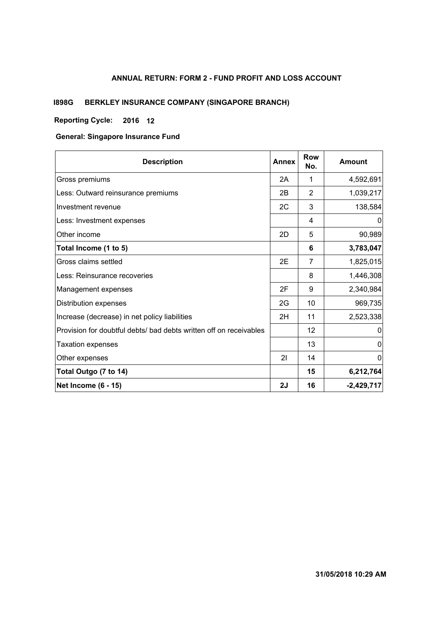# **ANNUAL RETURN: FORM 2 - FUND PROFIT AND LOSS ACCOUNT**

# **I898G BERKLEY INSURANCE COMPANY (SINGAPORE BRANCH)**

## **Reporting Cycle: 12 2016**

#### **General: Singapore Insurance Fund**

| <b>Description</b>                                                 | <b>Annex</b> | <b>Row</b><br>No. | <b>Amount</b> |
|--------------------------------------------------------------------|--------------|-------------------|---------------|
| Gross premiums                                                     | 2A           | 1                 | 4,592,691     |
| Less: Outward reinsurance premiums                                 | 2B           | 2                 | 1,039,217     |
| Investment revenue                                                 | 2C           | 3                 | 138,584       |
| Less: Investment expenses                                          |              | 4                 | 0             |
| Other income                                                       | 2D           | 5                 | 90,989        |
| Total Income (1 to 5)                                              |              | 6                 | 3,783,047     |
| Gross claims settled                                               | 2E           | 7                 | 1,825,015     |
| Less: Reinsurance recoveries                                       |              | 8                 | 1,446,308     |
| Management expenses                                                | 2F           | 9                 | 2,340,984     |
| Distribution expenses                                              | 2G           | 10                | 969,735       |
| Increase (decrease) in net policy liabilities                      | 2H           | 11                | 2,523,338     |
| Provision for doubtful debts/ bad debts written off on receivables |              | 12                | 0             |
| Taxation expenses                                                  |              | 13                | 0             |
| Other expenses                                                     | 21           | 14                | 0             |
| Total Outgo (7 to 14)                                              |              | 15                | 6,212,764     |
| <b>Net Income (6 - 15)</b>                                         | 2J           | 16                | $-2,429,717$  |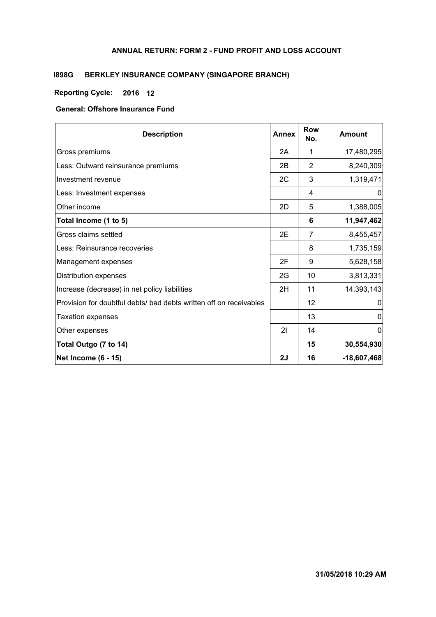### **ANNUAL RETURN: FORM 2 - FUND PROFIT AND LOSS ACCOUNT**

# **I898G BERKLEY INSURANCE COMPANY (SINGAPORE BRANCH)**

## **Reporting Cycle: 12 2016**

## **General: Offshore Insurance Fund**

| <b>Description</b>                                                 | <b>Annex</b> | <b>Row</b><br>No. | Amount        |
|--------------------------------------------------------------------|--------------|-------------------|---------------|
| Gross premiums                                                     | 2A           | 1                 | 17,480,295    |
| Less: Outward reinsurance premiums                                 | 2B           | 2                 | 8,240,309     |
| Investment revenue                                                 | 2C           | 3                 | 1,319,471     |
| Less: Investment expenses                                          |              | 4                 | 0             |
| Other income                                                       | 2D           | 5                 | 1,388,005     |
| Total Income (1 to 5)                                              |              | 6                 | 11,947,462    |
| Gross claims settled                                               | 2E           | 7                 | 8,455,457     |
| Less: Reinsurance recoveries                                       |              | 8                 | 1,735,159     |
| Management expenses                                                | 2F           | 9                 | 5,628,158     |
| Distribution expenses                                              | 2G           | 10                | 3,813,331     |
| Increase (decrease) in net policy liabilities                      | 2H           | 11                | 14,393,143    |
| Provision for doubtful debts/ bad debts written off on receivables |              | 12                | 0             |
| <b>Taxation expenses</b>                                           |              | 13                | 0             |
| Other expenses                                                     | 21           | 14                | 0             |
| Total Outgo (7 to 14)                                              |              | 15                | 30,554,930    |
| <b>Net Income (6 - 15)</b>                                         | 2J           | 16                | $-18,607,468$ |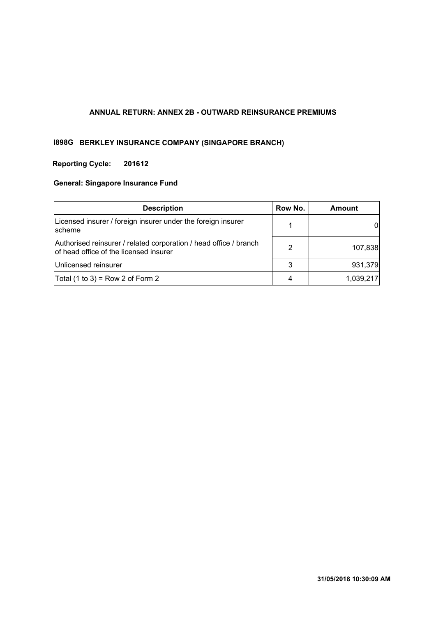#### **ANNUAL RETURN: ANNEX 2B - OUTWARD REINSURANCE PREMIUMS**

# **I898G BERKLEY INSURANCE COMPANY (SINGAPORE BRANCH)**

# **Reporting Cycle: 201612**

# **General: Singapore Insurance Fund**

| <b>Description</b>                                                                                          | Row No. | Amount    |
|-------------------------------------------------------------------------------------------------------------|---------|-----------|
| Licensed insurer / foreign insurer under the foreign insurer<br><b>scheme</b>                               |         |           |
| Authorised reinsurer / related corporation / head office / branch<br>of head office of the licensed insurer | 2       | 107,838   |
| Unlicensed reinsurer                                                                                        | 3       | 931,379   |
| Total $(1 to 3)$ = Row 2 of Form 2                                                                          | 4       | 1,039,217 |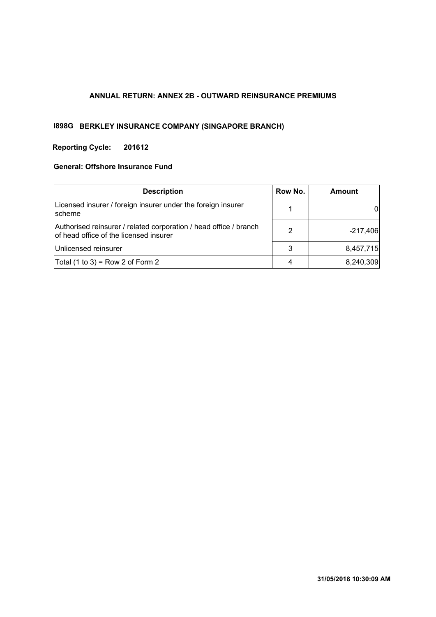### **ANNUAL RETURN: ANNEX 2B - OUTWARD REINSURANCE PREMIUMS**

# **I898G BERKLEY INSURANCE COMPANY (SINGAPORE BRANCH)**

## **Reporting Cycle: 201612**

#### **General: Offshore Insurance Fund**

| <b>Description</b>                                                                                          | Row No. | <b>Amount</b>              |
|-------------------------------------------------------------------------------------------------------------|---------|----------------------------|
| Licensed insurer / foreign insurer under the foreign insurer<br>scheme                                      |         | $0^{\scriptscriptstyle +}$ |
| Authorised reinsurer / related corporation / head office / branch<br>of head office of the licensed insurer | 2       | $-217,406$                 |
| Unlicensed reinsurer                                                                                        | 3       | 8,457,715                  |
| Total $(1 to 3)$ = Row 2 of Form 2                                                                          | 4       | 8,240,309                  |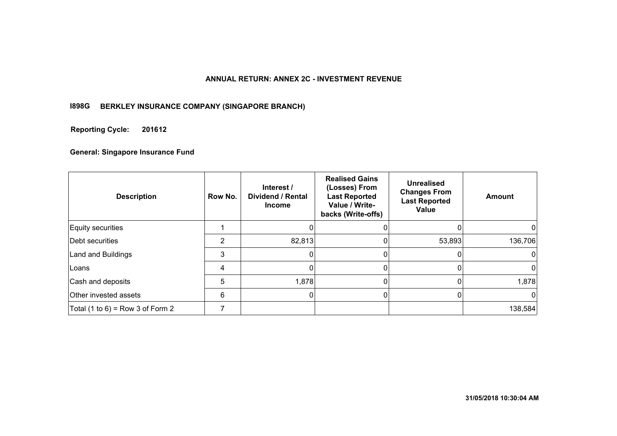#### **ANNUAL RETURN: ANNEX 2C - INVESTMENT REVENUE**

#### **I898G BERKLEY INSURANCE COMPANY (SINGAPORE BRANCH)**

#### **201612 Reporting Cycle:**

#### **General: Singapore Insurance Fund**

| <b>Description</b>                 | Row No. | Interest /<br><b>Dividend / Rental</b><br><b>Income</b> | <b>Realised Gains</b><br>(Losses) From<br><b>Last Reported</b><br>Value / Write-<br>backs (Write-offs) | <b>Unrealised</b><br><b>Changes From</b><br><b>Last Reported</b><br>Value | <b>Amount</b> |
|------------------------------------|---------|---------------------------------------------------------|--------------------------------------------------------------------------------------------------------|---------------------------------------------------------------------------|---------------|
| Equity securities                  |         |                                                         |                                                                                                        |                                                                           |               |
| Debt securities                    | 2       | 82,813                                                  |                                                                                                        | 53,893                                                                    | 136,706       |
| Land and Buildings                 | 3       | 0                                                       |                                                                                                        |                                                                           | 0             |
| Loans                              | 4       |                                                         |                                                                                                        | 0                                                                         | 0             |
| Cash and deposits                  | 5       | 1,878                                                   |                                                                                                        |                                                                           | 1,878         |
| Other invested assets              | 6       | 0                                                       | U                                                                                                      | 0                                                                         | 0             |
| Total $(1 to 6)$ = Row 3 of Form 2 |         |                                                         |                                                                                                        |                                                                           | 138,584       |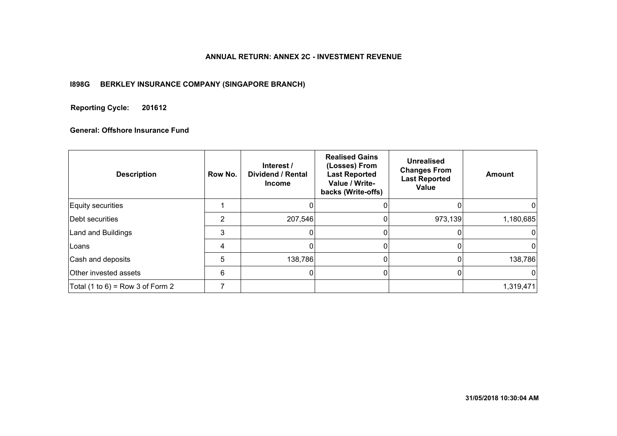#### **ANNUAL RETURN: ANNEX 2C - INVESTMENT REVENUE**

#### **I898G BERKLEY INSURANCE COMPANY (SINGAPORE BRANCH)**

#### **201612 Reporting Cycle:**

## **General: Offshore Insurance Fund**

| <b>Description</b>                 | Row No. | Interest /<br><b>Dividend / Rental</b><br><b>Income</b> | <b>Realised Gains</b><br>(Losses) From<br><b>Last Reported</b><br>Value / Write-<br>backs (Write-offs) | Unrealised<br><b>Changes From</b><br><b>Last Reported</b><br>Value | <b>Amount</b> |
|------------------------------------|---------|---------------------------------------------------------|--------------------------------------------------------------------------------------------------------|--------------------------------------------------------------------|---------------|
| Equity securities                  |         |                                                         |                                                                                                        |                                                                    |               |
| Debt securities                    | 2       | 207,546                                                 |                                                                                                        | 973,139                                                            | 1,180,685     |
| Land and Buildings                 | 3       |                                                         |                                                                                                        | 0                                                                  |               |
| Loans                              | 4       |                                                         |                                                                                                        |                                                                    | ი             |
| Cash and deposits                  | 5       | 138,786                                                 |                                                                                                        |                                                                    | 138,786       |
| Other invested assets              | 6       | $\Omega$                                                |                                                                                                        |                                                                    |               |
| Total $(1 to 6)$ = Row 3 of Form 2 |         |                                                         |                                                                                                        |                                                                    | 1,319,471     |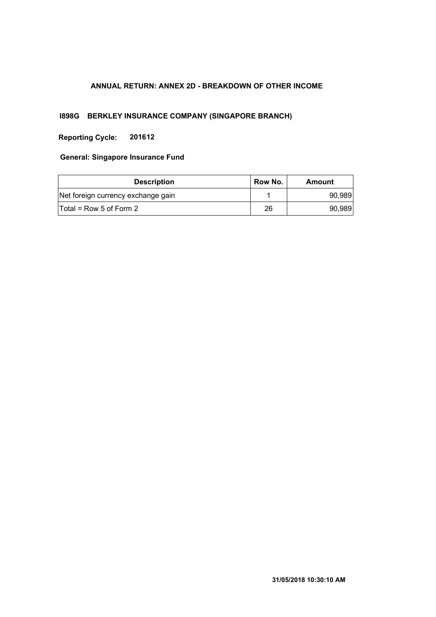## **ANNUAL RETURN: ANNEX 2D - BREAKDOWN OF OTHER INCOME**

## **I898G BERKLEY INSURANCE COMPANY (SINGAPORE BRANCH)**

**Reporting Cycle: 201612**

#### **General: Singapore Insurance Fund**

| <b>Description</b>                 | Row No. | Amount |
|------------------------------------|---------|--------|
| Net foreign currency exchange gain |         | 90,989 |
| $Total = Row 5 of Form 2$          | 26      | 90,989 |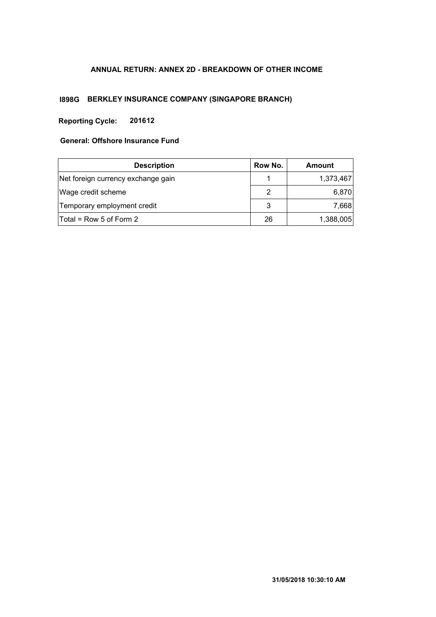# **ANNUAL RETURN: ANNEX 2D - BREAKDOWN OF OTHER INCOME**

# **I898G BERKLEY INSURANCE COMPANY (SINGAPORE BRANCH)**

# **Reporting Cycle: 201612**

## **General: Offshore Insurance Fund**

| <b>Description</b>                 | Row No. | Amount    |
|------------------------------------|---------|-----------|
| Net foreign currency exchange gain |         | 1,373,467 |
| Wage credit scheme                 | 2       | 6,870     |
| Temporary employment credit        | 3       | 7,668     |
| Total = Row 5 of Form 2            | 26      | 1,388,005 |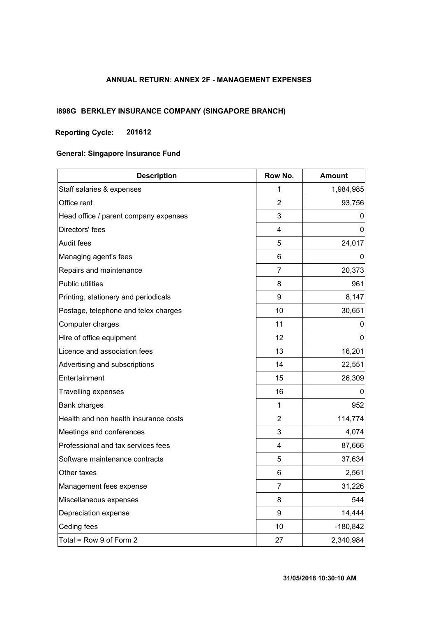## **ANNUAL RETURN: ANNEX 2F - MANAGEMENT EXPENSES**

# **I898G BERKLEY INSURANCE COMPANY (SINGAPORE BRANCH)**

### **Reporting Cycle: 201612**

## **General: Singapore Insurance Fund**

| <b>Description</b>                    | Row No.                 | <b>Amount</b> |  |  |
|---------------------------------------|-------------------------|---------------|--|--|
| Staff salaries & expenses             | 1                       | 1,984,985     |  |  |
| Office rent                           | $\overline{2}$          | 93,756        |  |  |
| Head office / parent company expenses | 3                       | $\Omega$      |  |  |
| Directors' fees                       | $\overline{\mathbf{4}}$ | 0             |  |  |
| <b>Audit fees</b>                     | 5                       | 24,017        |  |  |
| Managing agent's fees                 | 6                       | 0             |  |  |
| Repairs and maintenance               | 7                       | 20,373        |  |  |
| Public utilities                      | 8                       | 961           |  |  |
| Printing, stationery and periodicals  | 9                       | 8,147         |  |  |
| Postage, telephone and telex charges  | 10                      | 30,651        |  |  |
| Computer charges                      | 11                      | 0             |  |  |
| Hire of office equipment              | 12                      | 0             |  |  |
| Licence and association fees          | 13                      | 16,201        |  |  |
| Advertising and subscriptions         | 14                      | 22,551        |  |  |
| Entertainment                         | 15                      | 26,309        |  |  |
| <b>Travelling expenses</b>            | 16                      | 0             |  |  |
| <b>Bank charges</b>                   | 1                       | 952           |  |  |
| Health and non health insurance costs | $\overline{2}$          | 114,774       |  |  |
| Meetings and conferences              | 3                       | 4,074         |  |  |
| Professional and tax services fees    | 4                       | 87,666        |  |  |
| Software maintenance contracts        | 5                       | 37,634        |  |  |
| Other taxes                           | 6                       | 2,561         |  |  |
| Management fees expense               | 7                       | 31,226        |  |  |
| Miscellaneous expenses                | 8                       | 544           |  |  |
| Depreciation expense                  | $\boldsymbol{9}$        | 14,444        |  |  |
| Ceding fees                           | 10                      | $-180,842$    |  |  |
| Total = Row 9 of Form 2               | 27                      | 2,340,984     |  |  |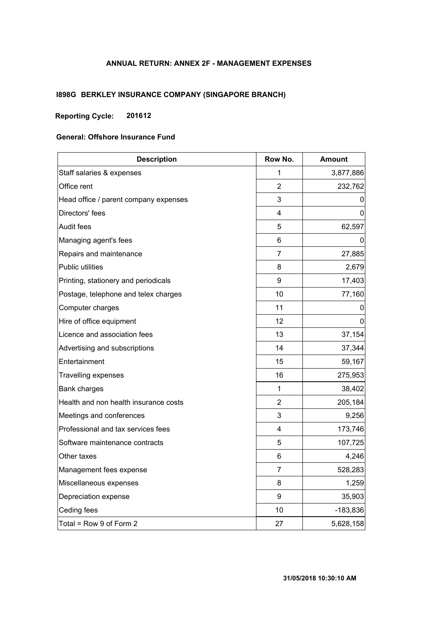## **ANNUAL RETURN: ANNEX 2F - MANAGEMENT EXPENSES**

# **I898G BERKLEY INSURANCE COMPANY (SINGAPORE BRANCH)**

## **Reporting Cycle: 201612**

#### **General: Offshore Insurance Fund**

| <b>Description</b>                    | Row No.        | <b>Amount</b> |
|---------------------------------------|----------------|---------------|
| Staff salaries & expenses             | 1              | 3,877,886     |
| Office rent                           | 2              | 232,762       |
| Head office / parent company expenses | 3              | 0             |
| Directors' fees                       | 4              | 0             |
| Audit fees                            | 5              | 62,597        |
| Managing agent's fees                 | 6              | 0             |
| Repairs and maintenance               | 7              | 27,885        |
| Public utilities                      | 8              | 2,679         |
| Printing, stationery and periodicals  | 9              | 17,403        |
| Postage, telephone and telex charges  | 10             | 77,160        |
| Computer charges                      | 11             | 0             |
| Hire of office equipment              | 12             | $\Omega$      |
| Licence and association fees          | 13             | 37,154        |
| Advertising and subscriptions         | 14             | 37,344        |
| Entertainment                         | 15             | 59,167        |
| <b>Travelling expenses</b>            | 16             | 275,953       |
| Bank charges                          | 1              | 38,402        |
| Health and non health insurance costs | $\overline{2}$ | 205,184       |
| Meetings and conferences              | 3              | 9,256         |
| Professional and tax services fees    | 4              | 173,746       |
| Software maintenance contracts        | 5              | 107,725       |
| Other taxes                           | 6              | 4,246         |
| Management fees expense               | 7              | 528,283       |
| Miscellaneous expenses                | 8              | 1,259         |
| Depreciation expense                  | 9              | 35,903        |
| Ceding fees                           | 10             | $-183,836$    |
| Total = Row 9 of Form 2               | 27             | 5,628,158     |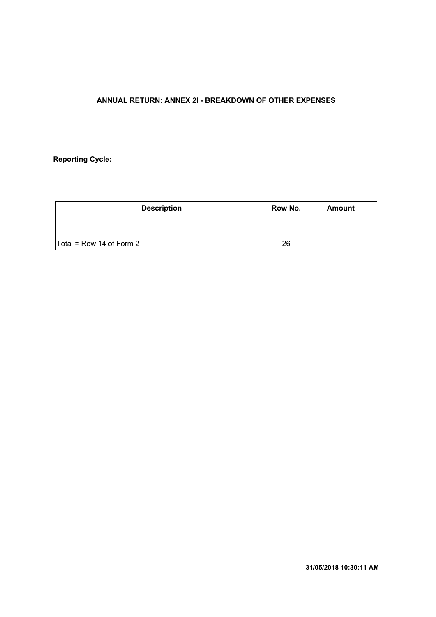# **ANNUAL RETURN: ANNEX 2I - BREAKDOWN OF OTHER EXPENSES**

# **Reporting Cycle:**

| <b>Description</b>         | Row No. | Amount |
|----------------------------|---------|--------|
|                            |         |        |
|                            |         |        |
| $Total = Row 14 of Form 2$ | 26      |        |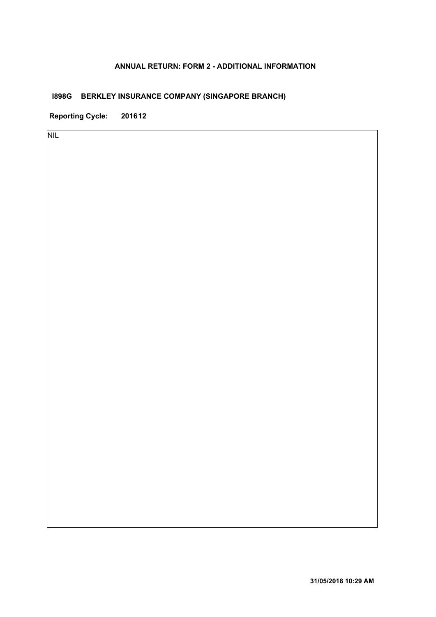### **ANNUAL RETURN: FORM 2 - ADDITIONAL INFORMATION**

# **I898G BERKLEY INSURANCE COMPANY (SINGAPORE BRANCH)**

**Reporting Cycle: 201612**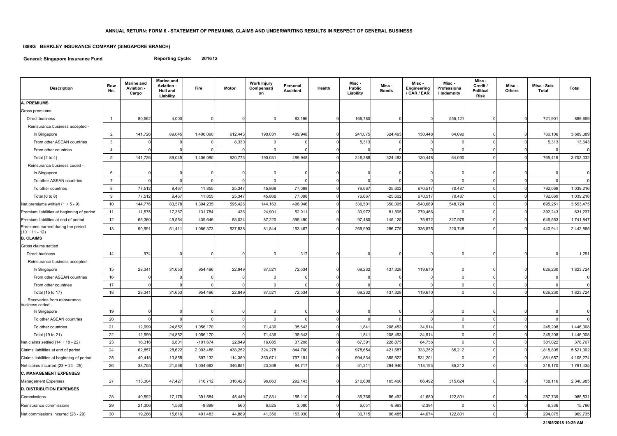**General: Singapore Insurance Fund**

# **I898G BERKLEY INSURANCE COMPANY (SINGAPORE BRANCH)**

**Reporting Cycle: 201612**

| <b>Description</b>                                    | Row<br>No.      | <b>Marine and</b><br>Aviation -<br>Cargo | <b>Marine and</b><br><b>Aviation -</b><br><b>Hull and</b><br>Liability | Fire       | <b>Motor</b> | <b>Work Injury</b><br>Compensati<br>on | Personal<br><b>Accident</b> | Health   | Misc -<br><b>Public</b><br>Liability | Misc -<br><b>Bonds</b> | Misc -<br>Engineering<br>/ CAR / EAR | Misc -<br>Professiona<br>I Indemnity | Misc -<br>Credit /<br><b>Political</b><br><b>Risk</b> | Misc-<br><b>Others</b> | Misc - Sub-<br><b>Total</b> | <b>Total</b> |
|-------------------------------------------------------|-----------------|------------------------------------------|------------------------------------------------------------------------|------------|--------------|----------------------------------------|-----------------------------|----------|--------------------------------------|------------------------|--------------------------------------|--------------------------------------|-------------------------------------------------------|------------------------|-----------------------------|--------------|
| A. PREMIUMS                                           |                 |                                          |                                                                        |            |              |                                        |                             |          |                                      |                        |                                      |                                      |                                                       |                        |                             |              |
| Gross premiums                                        |                 |                                          |                                                                        |            |              |                                        |                             |          |                                      |                        |                                      |                                      |                                                       |                        |                             |              |
| Direct business                                       | $\mathbf{1}$    | 80,562                                   | 4,000                                                                  |            |              |                                        | 83,196                      | $\Omega$ | 166,780                              |                        |                                      | 555,121                              |                                                       |                        | 721,901                     | 889,659      |
| Reinsurance business accepted -                       |                 |                                          |                                                                        |            |              |                                        |                             |          |                                      |                        |                                      |                                      |                                                       |                        |                             |              |
| In Singapore                                          | $\overline{2}$  | 141,726                                  | 89,045                                                                 | 1,406,090  | 612,443      | 190,031                                | 489,948                     |          | 241,075                              | 324,493                | 130,448                              | 64,090                               |                                                       |                        | 760,106                     | 3,689,389    |
| From other ASEAN countries                            | $\mathbf{3}$    |                                          |                                                                        |            | 8,330        |                                        |                             |          | 5,313                                |                        |                                      |                                      | $\Omega$                                              |                        | 5,313                       | 13,643       |
| From other countries                                  | 4               |                                          |                                                                        |            |              |                                        |                             |          |                                      |                        |                                      |                                      |                                                       |                        |                             | $\Omega$     |
| Total $(2 \text{ to } 4)$                             | $5\overline{)}$ | 141,726                                  | 89,045                                                                 | 1,406,090  | 620,773      | 190,031                                | 489,948                     |          | 246,388                              | 324,493                | 130,448                              | 64,090                               | $\mathbf 0$                                           |                        | 765,419                     | 3,703,032    |
| Reinsurance business ceded -                          |                 |                                          |                                                                        |            |              |                                        |                             |          |                                      |                        |                                      |                                      |                                                       |                        |                             |              |
| In Singapore                                          | 6               |                                          |                                                                        |            |              |                                        |                             |          |                                      |                        |                                      |                                      |                                                       |                        |                             |              |
| To other ASEAN countries                              | $\overline{7}$  |                                          |                                                                        |            |              |                                        |                             |          |                                      |                        |                                      |                                      |                                                       |                        |                             | $\Omega$     |
| To other countries                                    | 8               | 77,512                                   | 9,467                                                                  | 11,855     | 25,347       | 45,868                                 | 77,098                      |          | 76,667                               | $-25,602$              | 670,517                              | 70,487                               | $\Omega$                                              |                        | 792,069                     | 1,039,216    |
| Total $(6 to 8)$                                      | 9               | 77,512                                   | 9,467                                                                  | 11,855     | 25,347       | 45,868                                 | 77,098                      |          | 76,667                               | $-25,602$              | 670,517                              | 70,487                               | $\Omega$                                              |                        | 792,069                     | 1,039,216    |
| Net premiums written $(1 + 5 - 9)$                    | 10              | 144,776                                  | 83,578                                                                 | 1,394,235  | 595,426      | 144,163                                | 496,046                     |          | 336,501                              | 350,095                | $-540,069$                           | 548,724                              | $\Omega$                                              |                        | 695,251                     | 3,553,475    |
| Premium liabilities at beginning of period            | 11              | 11,575                                   | 17,387                                                                 | 131,784    | 436          | 24,901                                 | 52,911                      |          | 30,972                               | 81,805                 | 279,466                              |                                      |                                                       |                        | 392,243                     | 631,237      |
| Premium liabilities at end of period                  | 12              | 65,360                                   | 49,554                                                                 | 439,646    | 58,024       | 87,220                                 | 395,490                     |          | 97,480                               | 145,125                | 75,972                               | 327,976                              | $\mathbf 0$                                           |                        | 646,553                     | 1,741,847    |
| Premiums earned during the period<br>$(10 + 11 - 12)$ | 13              | 90,991                                   | 51,411                                                                 | 1,086,373  | 537,838      | 81,844                                 | 153,467                     |          | 269,993                              | 286,775                | $-336,575$                           | 220,748                              | $\Omega$                                              |                        | 440,941                     | 2,442,865    |
| <b>B. CLAIMS</b>                                      |                 |                                          |                                                                        |            |              |                                        |                             |          |                                      |                        |                                      |                                      |                                                       |                        |                             |              |
| Gross claims settled                                  |                 |                                          |                                                                        |            |              |                                        |                             |          |                                      |                        |                                      |                                      |                                                       |                        |                             |              |
| Direct business                                       | 14              | 974                                      |                                                                        |            |              |                                        | 317                         | $\Omega$ |                                      |                        |                                      |                                      |                                                       |                        |                             | 1,291        |
| Reinsurance business accepted -                       |                 |                                          |                                                                        |            |              |                                        |                             |          |                                      |                        |                                      |                                      |                                                       |                        |                             |              |
| In Singapore                                          | 15              | 28,341                                   | 31,653                                                                 | 954,496    | 22,949       | 87,521                                 | 72,534                      |          | 69,232                               | 437,328                | 119,670                              | $\Omega$                             | O                                                     |                        | 626,230                     | 1,823,724    |
| From other ASEAN countries                            | 16              |                                          |                                                                        |            |              |                                        |                             |          |                                      |                        |                                      |                                      |                                                       |                        |                             | 0            |
| From other countries                                  | 17              |                                          |                                                                        |            |              |                                        |                             |          |                                      |                        |                                      | $\Omega$                             | $\mathbf{0}$                                          |                        |                             |              |
| Total (15 to 17)                                      | 18              | 28,341                                   | 31,653                                                                 | 954,496    | 22,949       | 87,521                                 | 72,534                      |          | 69,232                               | 437,328                | 119,670                              |                                      | $\Omega$                                              |                        | 626,230                     | 1,823,724    |
| Recoveries from reinsurance<br>business ceded -       |                 |                                          |                                                                        |            |              |                                        |                             |          |                                      |                        |                                      |                                      |                                                       |                        |                             |              |
| In Singapore                                          | 19              |                                          | 0                                                                      |            | 0            | $\Omega$                               | $\overline{0}$              | $\Omega$ | 0                                    | $\Omega$               | 01                                   | $\overline{0}$                       | 0                                                     |                        | $\overline{0}$<br>0         | 0            |
| To other ASEAN countries                              | 20              |                                          |                                                                        |            |              |                                        |                             |          |                                      |                        |                                      |                                      |                                                       |                        |                             | $\mathbf 0$  |
| To other countries                                    | 21              | 12,999                                   | 24,852                                                                 | 1,056,170  |              | 71,436                                 | 35,643                      | $\Omega$ | 1,841                                | 208,453                | 34,914                               |                                      |                                                       |                        | 245,208                     | 1,446,308    |
| Total (19 to 21)                                      | 22              | 12,999                                   | 24,852                                                                 | 1,056,170  |              | 71,436                                 | 35,643                      | $\Omega$ | 1,841                                | 208,453                | 34,914                               |                                      |                                                       |                        | 245,208                     | 1,446,308    |
| Net claims settled (14 + 18 - 22)                     | 23              | 16,316                                   | 6,801                                                                  | $-101,674$ | 22,949       | 16,085                                 | 37,208                      | $\Omega$ | 67,391                               | 228,875                | 84,756                               |                                      |                                                       |                        | 381,022                     | 378,707      |
| Claims liabilities at end of period                   | 24              | 62,857                                   | 28,622                                                                 | 2,003,488  | 438,252      | 324,278                                | 844,700                     | $\Omega$ | 978,654                              | 421,687                | 333,252                              | 85,212                               | 0                                                     |                        | 1,818,805                   | 5,521,002    |
| Claims liabilities at beginning of period             | 25              | 40,418                                   | 13,855                                                                 | 897,132    | 114,350      | 363,671                                | 797,191                     |          | 994,834                              | 355,622                | 531,201                              |                                      |                                                       |                        | 1,881,657                   | 4,108,274    |
| Net claims incurred $(23 + 24 - 25)$                  | 26              | 38,755                                   | 21,568                                                                 | 1,004,682  | 346,851      | $-23,308$                              | 84,717                      |          | 51,211                               | 294,940                | $-113,193$                           | 85,212                               | 0                                                     |                        | 318,170                     | 1,791,435    |
| <b>C. MANAGEMENT EXPENSES</b>                         |                 |                                          |                                                                        |            |              |                                        |                             |          |                                      |                        |                                      |                                      |                                                       |                        |                             |              |
| Management Expenses                                   | 27              | 113,304                                  | 47,427                                                                 | 716,712    | 316,420      | 96,863                                 | 292,143                     | $\Omega$ | 210,600                              | 165,400                | 66,492                               | 315,624                              |                                                       |                        | 758,116                     | 2,340,985    |
| <b>D. DISTRIBUTION EXPENSES</b>                       |                 |                                          |                                                                        |            |              |                                        |                             |          |                                      |                        |                                      |                                      |                                                       |                        |                             |              |
| Commissions                                           | 28              | 40,592                                   | 17,176                                                                 | 391,584    | 45,449       | 47,881                                 | 155,110                     | $\Omega$ | 36,766                               | 86,492                 | 41,680                               | 122,801                              |                                                       |                        | 287,739                     | 985,531      |
| Reinsurance commissions                               | 29              | 21,306                                   | 1,560                                                                  | $-9,899$   | 560          | 6,525                                  | 2,080                       | $\Omega$ | 6,051                                | $-9,993$               | $-2,394$                             |                                      |                                                       |                        | $-6,336$                    | 15,796       |
| Net commissions incurred (28 - 29)                    | 30 <sub>o</sub> | 19,286                                   | 15,616                                                                 | 401,483    | 44,889       | 41,356                                 | 153,030                     | $\Omega$ | 30,715                               | 96,485                 | 44,074                               | 122,801                              | $\mathbf 0$                                           |                        | 294,075<br>$\Omega$         | 969,735      |

**31/05/2018 10:29 AM**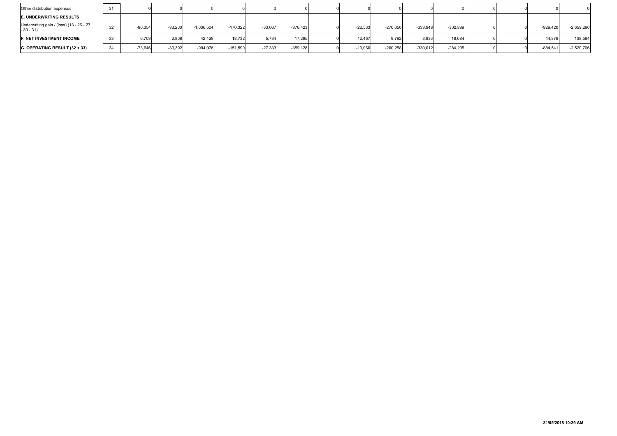| Other distribution expenses                            | 31 |           |           |              |            |           |            |           |            |            |            |  |            |              |
|--------------------------------------------------------|----|-----------|-----------|--------------|------------|-----------|------------|-----------|------------|------------|------------|--|------------|--------------|
| <b>E. UNDERWRITING RESULTS</b>                         |    |           |           |              |            |           |            |           |            |            |            |  |            |              |
| Underwriting gain / (loss) (13 - 26 - 27<br>$-30 - 31$ | 32 | $-80,354$ | $-33,200$ | $-1,036,504$ | $-170.322$ | $-33,067$ | $-376.423$ | $-22,533$ | $-270,050$ | $-333,948$ | $-302,889$ |  | $-929,420$ | $-2,659,290$ |
| <b>F. NET INVESTMENT INCOME</b>                        | 33 | 6,708     | 2,808     | 42.428       | 18.732     | 5.734     | 17.295     | 12.467    | 9.792      | 3,936      | 18,684     |  | 44,879     | 138,584      |
| $ G.$ OPERATING RESULT $(32 + 33)$                     | 34 | $-73,646$ | $-30,392$ | $-994,076$   | $-151,590$ | $-27,333$ | $-359,128$ | $-10,066$ | $-260,258$ | $-330,012$ | $-284,205$ |  | $-884,541$ | $-2,520,706$ |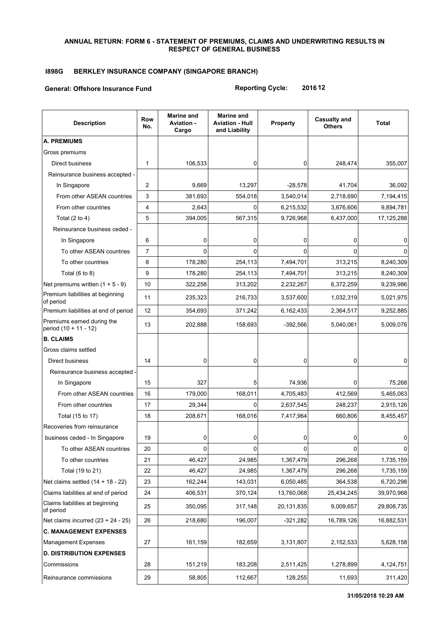#### **ANNUAL RETURN: FORM 6 - STATEMENT OF PREMIUMS, CLAIMS AND UNDERWRITING RESULTS IN RESPECT OF GENERAL BUSINESS**

## **I898G BERKLEY INSURANCE COMPANY (SINGAPORE BRANCH)**

#### **General: Offshore Insurance Fund**

**Reporting Cycle: 2016 12**

| <b>Description</b>                                  | Row<br>No. | <b>Marine and</b><br><b>Aviation -</b><br>Cargo | <b>Marine and</b><br><b>Aviation - Hull</b><br>and Liability | Property   | <b>Casualty and</b><br><b>Others</b> | <b>Total</b> |
|-----------------------------------------------------|------------|-------------------------------------------------|--------------------------------------------------------------|------------|--------------------------------------|--------------|
| A. PREMIUMS                                         |            |                                                 |                                                              |            |                                      |              |
| Gross premiums                                      |            |                                                 |                                                              |            |                                      |              |
| Direct business                                     | 1          | 106,533                                         | 0                                                            | 0          | 248,474                              | 355,007      |
| Reinsurance business accepted -                     |            |                                                 |                                                              |            |                                      |              |
| In Singapore                                        | 2          | 9,669                                           | 13,297                                                       | $-28,578$  | 41,704                               | 36,092       |
| From other ASEAN countries                          | 3          | 381,693                                         | 554,018                                                      | 3,540,014  | 2,718,690                            | 7,194,415    |
| From other countries                                | 4          | 2,643                                           | 0                                                            | 6,215,532  | 3,676,606                            | 9,894,781    |
| Total $(2 to 4)$                                    | 5          | 394,005                                         | 567,315                                                      | 9,726,968  | 6,437,000                            | 17,125,288   |
| Reinsurance business ceded -                        |            |                                                 |                                                              |            |                                      |              |
| In Singapore                                        | 6          | 0                                               | 0                                                            | 0          | 0                                    | 0            |
| To other ASEAN countries                            | 7          | 0                                               | $\Omega$                                                     | $\Omega$   | 0                                    | $\Omega$     |
| To other countries                                  | 8          | 178,280                                         | 254,113                                                      | 7,494,701  | 313,215                              | 8,240,309    |
| Total $(6 to 8)$                                    | 9          | 178,280                                         | 254,113                                                      | 7,494,701  | 313,215                              | 8,240,309    |
| Net premiums written $(1 + 5 - 9)$                  | 10         | 322,258                                         | 313,202                                                      | 2,232,267  | 6,372,259                            | 9,239,986    |
| Premium liabilities at beginning<br>of period       | 11         | 235,323                                         | 216,733                                                      | 3,537,600  | 1,032,319                            | 5,021,975    |
| Premium liabilities at end of period                | 12         | 354,693                                         | 371,242                                                      | 6,162,433  | 2,364,517                            | 9,252,885    |
| Premiums earned during the<br>period (10 + 11 - 12) | 13         | 202,888                                         | 158,693                                                      | $-392,566$ | 5,040,061                            | 5,009,076    |
| <b>B. CLAIMS</b>                                    |            |                                                 |                                                              |            |                                      |              |
| Gross claims settled                                |            |                                                 |                                                              |            |                                      |              |
| Direct business                                     | 14         | 0                                               | 0                                                            | 0          | $\Omega$                             | 0            |
| Reinsurance business accepted -                     |            |                                                 |                                                              |            |                                      |              |
| In Singapore                                        | 15         | 327                                             | 5                                                            | 74,936     | 0                                    | 75,268       |
| From other ASEAN countries                          | 16         | 179,000                                         | 168,011                                                      | 4,705,483  | 412,569                              | 5,465,063    |
| From other countries                                | 17         | 29,344                                          | $\Omega$                                                     | 2,637,545  | 248,237                              | 2,915,126    |
| Total (15 to 17)                                    | 18         | 208,671                                         | 168,016                                                      | 7,417,964  | 660,806                              | 8,455,457    |
| Recoveries from reinsurance                         |            |                                                 |                                                              |            |                                      |              |
| business ceded - In Singapore                       | 19         | 0                                               | 0                                                            | 0          | 0                                    | 0            |
| To other ASEAN countries                            | 20         | 0                                               | 0                                                            | 0          | 0                                    | 0            |
| To other countries                                  | 21         | 46,427                                          | 24,985                                                       | 1,367,479  | 296,268                              | 1,735,159    |
| Total (19 to 21)                                    | 22         | 46,427                                          | 24,985                                                       | 1,367,479  | 296,268                              | 1,735,159    |
| Net claims settled $(14 + 18 - 22)$                 | 23         | 162,244                                         | 143,031                                                      | 6,050,485  | 364,538                              | 6,720,298    |
| Claims liabilities at end of period                 | 24         | 406,531                                         | 370,124                                                      | 13,760,068 | 25,434,245                           | 39,970,968   |
| Claims liabilities at beginning<br>of period        | 25         | 350,095                                         | 317,148                                                      | 20,131,835 | 9,009,657                            | 29,808,735   |
| Net claims incurred $(23 + 24 - 25)$                | 26         | 218,680                                         | 196,007                                                      | $-321,282$ | 16,789,126                           | 16,882,531   |
| <b>C. MANAGEMENT EXPENSES</b>                       |            |                                                 |                                                              |            |                                      |              |
| <b>Management Expenses</b>                          | 27         | 161,159                                         | 182,659                                                      | 3,131,807  | 2,152,533                            | 5,628,158    |
| <b>D. DISTRIBUTION EXPENSES</b>                     |            |                                                 |                                                              |            |                                      |              |
| Commissions                                         | 28         | 151,219                                         | 183,208                                                      | 2,511,425  | 1,278,899                            | 4,124,751    |
| Reinsurance commissions                             | 29         | 58,805                                          | 112,667                                                      | 128,255    | 11,693                               | 311,420      |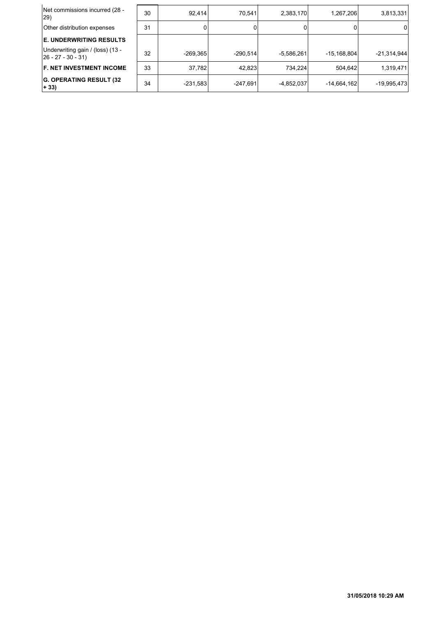| Net commissions incurred (28 -<br>29)                     | 30 | 92.414     | 70.541     | 2,383,170    | 1,267,206     | 3,813,331     |
|-----------------------------------------------------------|----|------------|------------|--------------|---------------|---------------|
| Other distribution expenses                               | 31 |            |            |              |               | 0             |
| <b>E. UNDERWRITING RESULTS</b>                            |    |            |            |              |               |               |
| Underwriting gain / (loss) (13 -<br>$ 26 - 27 - 30 - 31 $ | 32 | $-269.365$ | $-290.514$ | $-5.586.261$ | $-15.168.804$ | $-21,314,944$ |
| <b>F. NET INVESTMENT INCOME</b>                           | 33 | 37,782     | 42,823     | 734.224      | 504.642       | 1,319,471     |
| <b>G. OPERATING RESULT (32)</b><br>$+ 33)$                | 34 | $-231,583$ | $-247.691$ | $-4,852,037$ | $-14,664,162$ | $-19,995,473$ |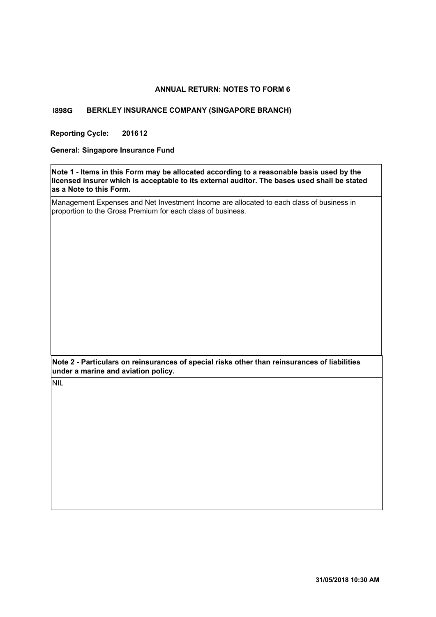#### **ANNUAL RETURN: NOTES TO FORM 6**

#### **I898G BERKLEY INSURANCE COMPANY (SINGAPORE BRANCH)**

**Reporting Cycle: 201612**

**General: Singapore Insurance Fund**

**Note 1 - Items in this Form may be allocated according to a reasonable basis used by the licensed insurer which is acceptable to its external auditor. The bases used shall be stated as a Note to this Form.**

Management Expenses and Net Investment Income are allocated to each class of business in proportion to the Gross Premium for each class of business.

**Note 2 - Particulars on reinsurances of special risks other than reinsurances of liabilities under a marine and aviation policy.**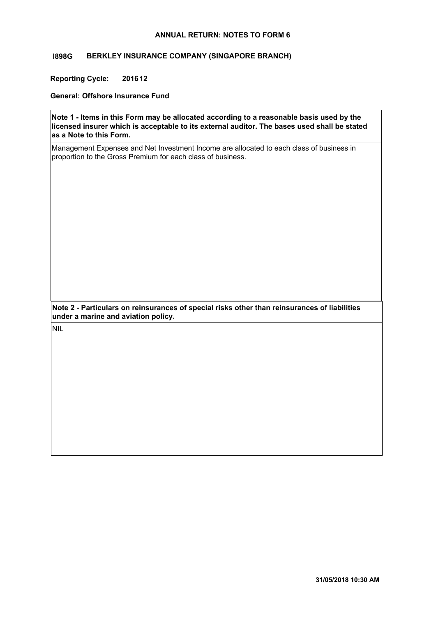#### **ANNUAL RETURN: NOTES TO FORM 6**

#### **I898G BERKLEY INSURANCE COMPANY (SINGAPORE BRANCH)**

**Reporting Cycle: 201612**

**General: Offshore Insurance Fund**

**Note 1 - Items in this Form may be allocated according to a reasonable basis used by the licensed insurer which is acceptable to its external auditor. The bases used shall be stated as a Note to this Form.**

Management Expenses and Net Investment Income are allocated to each class of business in proportion to the Gross Premium for each class of business.

**Note 2 - Particulars on reinsurances of special risks other than reinsurances of liabilities under a marine and aviation policy.**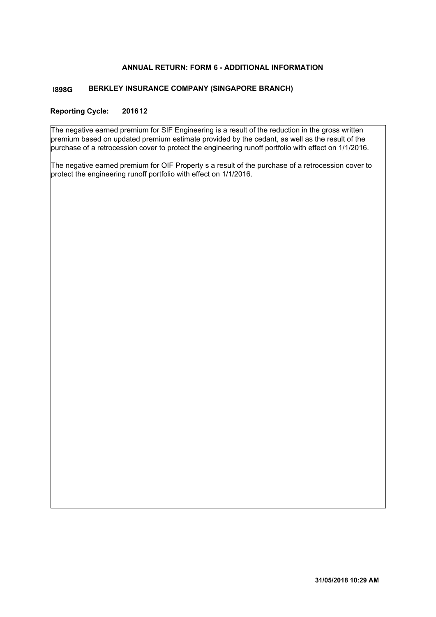#### **ANNUAL RETURN: FORM 6 - ADDITIONAL INFORMATION**

#### **BERKLEY INSURANCE COMPANY (SINGAPORE BRANCH) I898G**

#### **Reporting Cycle: 201612**

The negative earned premium for SIF Engineering is a result of the reduction in the gross written premium based on updated premium estimate provided by the cedant, as well as the result of the purchase of a retrocession cover to protect the engineering runoff portfolio with effect on 1/1/2016.

The negative earned premium for OIF Property s a result of the purchase of a retrocession cover to protect the engineering runoff portfolio with effect on 1/1/2016.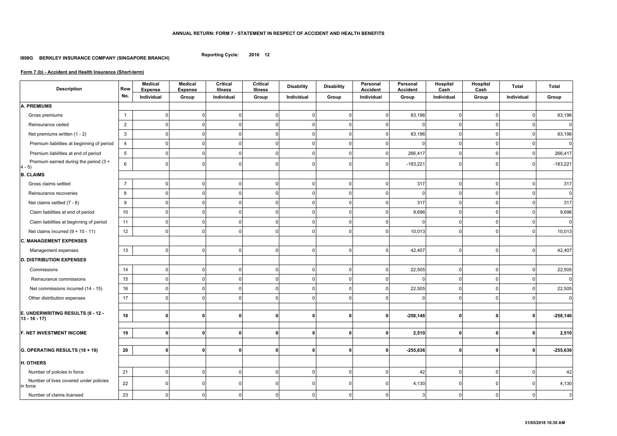#### **ANNUAL RETURN: FORM 7 - STATEMENT IN RESPECT OF ACCIDENT AND HEALTH BENEFITS**

**Reporting Cycle: 2016 12**

#### **I898G BERKLEY INSURANCE COMPANY (SINGAPORE BRANCH)**

| <b>Description</b>                                  | <b>Row</b>      | <b>Medical</b><br><b>Expense</b> | <b>Medical</b><br><b>Expense</b> | <b>Critical</b><br><b>Illness</b> | <b>Critical</b><br><b>Illness</b> | <b>Disability</b> | <b>Disability</b> | Personal<br><b>Accident</b> | Personal<br><b>Accident</b> | Hospital<br>Cash | Hospital<br>Cash | <b>Total</b>   | <b>Total</b>     |
|-----------------------------------------------------|-----------------|----------------------------------|----------------------------------|-----------------------------------|-----------------------------------|-------------------|-------------------|-----------------------------|-----------------------------|------------------|------------------|----------------|------------------|
|                                                     | No.             | Individual                       | Group                            | Individual                        | Group                             | Individual        | Group             | Individual                  | Group                       | Individual       | Group            | Individual     | Group            |
| <b>A. PREMIUMS</b>                                  |                 |                                  |                                  |                                   |                                   |                   |                   |                             |                             |                  |                  |                |                  |
| Gross premiums                                      | $\mathbf{1}$    |                                  |                                  | $\Omega$                          | $\Omega$                          | $\Omega$          | <sup>n</sup>      | $\Omega$                    | 83,196                      | $\overline{0}$   | $\Omega$         | $\Omega$       | 83,196           |
| Reinsurance ceded                                   | $\overline{2}$  |                                  |                                  |                                   | $\Omega$                          |                   |                   |                             |                             | $\mathbf{0}$     | $\Omega$         | $\Omega$       | 0                |
| Net premiums written (1 - 2)                        | $\mathbf{3}$    |                                  |                                  |                                   | $\Omega$                          |                   |                   |                             | 83,196                      | $\Omega$         | $\Omega$         | $\Omega$       | 83,196           |
| Premium liabilities at beginning of period          | $\overline{4}$  |                                  |                                  |                                   | $\Omega$                          |                   |                   |                             |                             | $\mathbf{0}$     | $\Omega$         | $\Omega$       | $\mathbf 0$      |
| Premium liabilities at end of period                | $5\overline{)}$ |                                  |                                  | $\Omega$                          | $\Omega$                          | O                 |                   |                             | 266,417                     | $\overline{0}$   | $\Omega$         | $\Omega$       | 266,417          |
| Premium earned during the period (3 +<br>$ 4 - 5 $  | $6\phantom{.}6$ |                                  |                                  |                                   | $\Omega$                          | O                 |                   |                             | $-183,221$                  | $\mathbf 0$      | $\Omega$         | $\Omega$       | $-183,221$       |
| <b>B. CLAIMS</b>                                    |                 |                                  |                                  |                                   |                                   |                   |                   |                             |                             |                  |                  |                |                  |
| Gross claims settled                                | $\overline{7}$  |                                  |                                  | $\Omega$                          | $\Omega$                          | $\Omega$          |                   | $\Omega$                    | 317                         | $\overline{0}$   | $\Omega$         | $\overline{0}$ | 317              |
| Reinsurance recoveries                              | 8               |                                  |                                  |                                   | $\Omega$                          |                   |                   |                             | - 0                         | $\Omega$         | $\Omega$         | $\Omega$       | $\mathbf 0$      |
| Net claims settled (7 - 8)                          | 9               |                                  |                                  |                                   | ∩                                 |                   |                   |                             | 317                         | $\Omega$         | $\Omega$         | $\Omega$       | 317              |
| Claim liabilities at end of period                  | 10              |                                  |                                  | ∩                                 | $\Omega$                          | O                 |                   |                             | 9,696                       | $\Omega$         | $\Omega$         | $\overline{0}$ | 9,696            |
| Claim liabilities at beginning of period            | 11              |                                  |                                  |                                   | ∩                                 | O                 |                   |                             |                             | $\Omega$         | $\Omega$         | $\Omega$       | $\mathbf 0$      |
| Net claims incurred $(9 + 10 - 11)$                 | 12              |                                  |                                  |                                   | ∩                                 |                   |                   |                             | 10,013                      | $\Omega$         | $\Omega$         | $\overline{0}$ | 10,013           |
| <b>C. MANAGEMENT EXPENSES</b>                       |                 |                                  |                                  |                                   |                                   |                   |                   |                             |                             |                  |                  |                |                  |
| Management expenses                                 | 13              |                                  |                                  | $\Omega$                          | $\overline{0}$                    | $\Omega$          | $\Omega$          | $\Omega$                    | 42,407                      | $\overline{0}$   | $\mathbf 0$      | 0              | 42,407           |
| <b>D. DISTRIBUTION EXPENSES</b>                     |                 |                                  |                                  |                                   |                                   |                   |                   |                             |                             |                  |                  |                |                  |
| Commissions                                         | 14              |                                  |                                  | $\Omega$                          | $\Omega$                          | $\Omega$          | $\Omega$          | $\Omega$                    | 22,505                      | $\overline{0}$   | $\overline{0}$   | $\mathbf 0$    | 22,505           |
| Reinsurance commissions                             | 15              |                                  |                                  | $\Omega$                          | $\Omega$                          | $\Omega$          | $\Omega$          | $\Omega$                    | $\Omega$                    | $\overline{0}$   | $\mathbf 0$      | $\overline{0}$ | $\boldsymbol{0}$ |
| Net commissions incurred (14 - 15)                  | 16              |                                  |                                  | $\Omega$                          | $\Omega$                          | $\Omega$          | $\Omega$          | $\Omega$                    | 22,505                      | $\Omega$         | $\Omega$         | $\Omega$       | 22,505           |
| Other distribution expenses                         | 17              |                                  |                                  |                                   | $\Omega$                          | O                 |                   | $\Omega$                    | $\Omega$                    | $\Omega$         | $\Omega$         | $\Omega$       | 0                |
| E. UNDERWRITING RESULTS (6 - 12 -<br>$13 - 16 - 17$ | 18              | $\Omega$                         | 0                                | $\mathbf{0}$                      | $\mathbf{0}$                      | 0                 | 0                 | ŋ                           | $-258,146$                  | 0                | $\mathbf{0}$     | 0              | $-258,146$       |
| <b>F. NET INVESTMENT INCOME</b>                     | 19              | 0                                | 01                               | $\mathbf{0}$                      | $\mathbf{0}$                      | 0                 | 0                 | 0                           | 2,510                       | $\mathbf 0$      | $\mathbf{0}$     | 0              | 2,510            |
| <b>G. OPERATING RESULTS <math>(18 + 19)</math></b>  | $20\,$          | $\Omega$                         | 0                                | $\Omega$                          | $\mathbf{0}$                      | 0                 | 0                 | n                           | $-255,636$                  | $\mathbf 0$      | $\mathbf{0}$     | 0              | $-255,636$       |
| H. OTHERS                                           |                 |                                  |                                  |                                   |                                   |                   |                   |                             |                             |                  |                  |                |                  |
| Number of policies in force                         | 21              |                                  |                                  | $\Omega$                          | $\mathbf 0$                       | $\mathbf{0}$      | $\Omega$          | $\mathbf 0$                 | 42                          | $\mathbf 0$      | 0                | $\mathbf 0$    | 42               |
| Number of lives covered under policies<br>in force  | 22              |                                  |                                  | $\Omega$                          | $\Omega$                          | $\Omega$          |                   | $\Omega$                    | 4,130                       | $\Omega$         | $\Omega$         | $\Omega$       | 4,130            |
| Number of claims licensed                           | 23              | $\Omega$                         | 01                               | $\mathbf{0}$                      | $\overline{0}$                    | 0                 | $\Omega$          | 0                           | 3                           | $\overline{0}$   | $\mathbf 0$      | $\overline{0}$ | 3                |

## **Form 7 (b) - Accident and Health Insurance (Short-term)**

#### **31/05/2018 10:30 AM**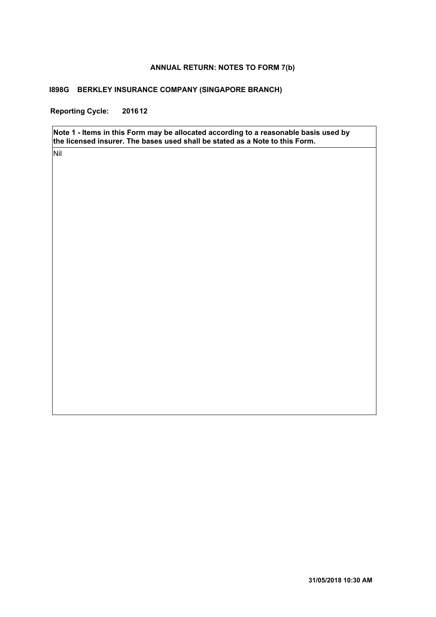#### **ANNUAL RETURN: NOTES TO FORM 7(b)**

#### **I898G BERKLEY INSURANCE COMPANY (SINGAPORE BRANCH)**

**Reporting Cycle: 201612**

**Note 1 - Items in this Form may be allocated according to a reasonable basis used by the licensed insurer. The bases used shall be stated as a Note to this Form.**

Nil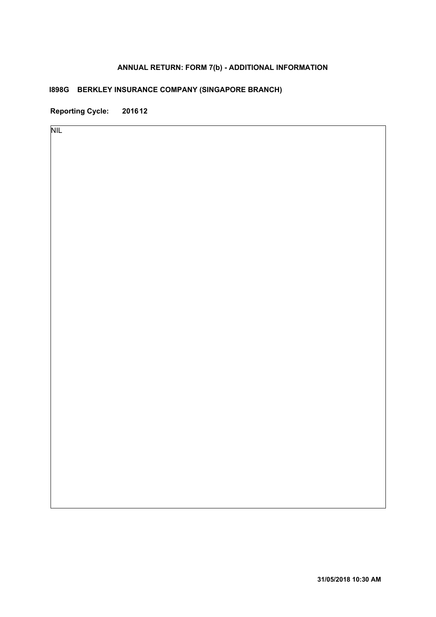# **ANNUAL RETURN: FORM 7(b) - ADDITIONAL INFORMATION**

# **I898G BERKLEY INSURANCE COMPANY (SINGAPORE BRANCH)**

**Reporting Cycle: 201612**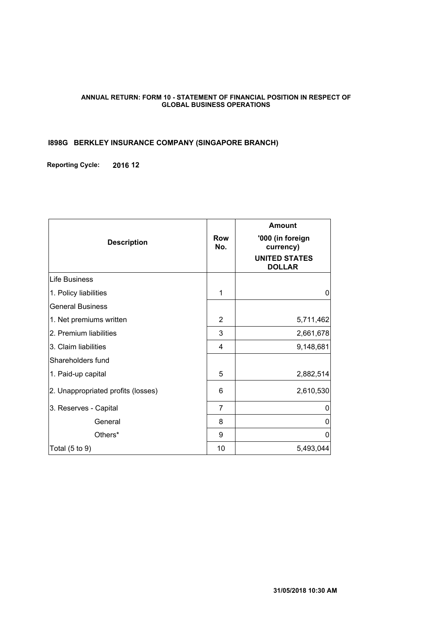#### **ANNUAL RETURN: FORM 10 - STATEMENT OF FINANCIAL POSITION IN RESPECT OF GLOBAL BUSINESS OPERATIONS**

#### **I898G BERKLEY INSURANCE COMPANY (SINGAPORE BRANCH)**

**Reporting Cycle: 2016 12**

| <b>Description</b>                 | <b>Row</b><br>No. | <b>Amount</b><br>'000 (in foreign<br>currency)<br><b>UNITED STATES</b><br><b>DOLLAR</b> |
|------------------------------------|-------------------|-----------------------------------------------------------------------------------------|
| Life Business                      |                   |                                                                                         |
| 1. Policy liabilities              | 1                 | 0                                                                                       |
| <b>General Business</b>            |                   |                                                                                         |
| 1. Net premiums written            | 2                 | 5,711,462                                                                               |
| 2. Premium liabilities             | 3                 | 2,661,678                                                                               |
| 3. Claim liabilities               | 4                 | 9,148,681                                                                               |
| Shareholders fund                  |                   |                                                                                         |
| 1. Paid-up capital                 | 5                 | 2,882,514                                                                               |
| 2. Unappropriated profits (losses) | 6                 | 2,610,530                                                                               |
| 3. Reserves - Capital              | 7                 | 0                                                                                       |
| General                            | 8                 | 0                                                                                       |
| Others*                            | 9                 | 0                                                                                       |
| Total $(5 \text{ to } 9)$          | 10                | 5,493,044                                                                               |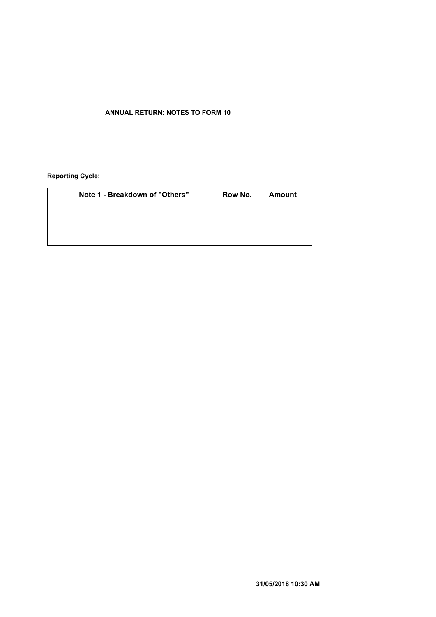### **ANNUAL RETURN: NOTES TO FORM 10**

#### **Reporting Cycle:**

| Note 1 - Breakdown of "Others" | Row No. | <b>Amount</b> |
|--------------------------------|---------|---------------|
|                                |         |               |
|                                |         |               |
|                                |         |               |
|                                |         |               |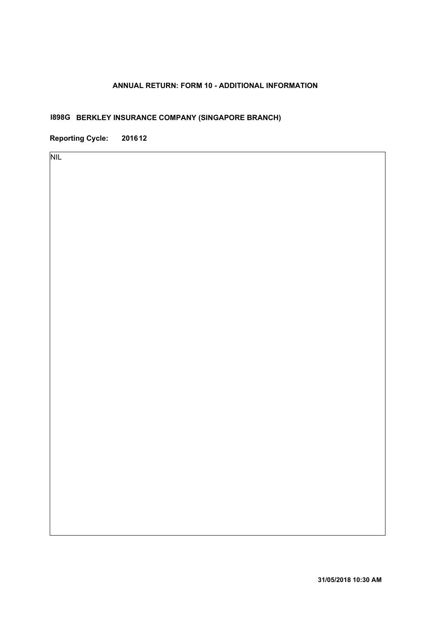## **ANNUAL RETURN: FORM 10 - ADDITIONAL INFORMATION**

# **I898G BERKLEY INSURANCE COMPANY (SINGAPORE BRANCH)**

**Reporting Cycle: 201612**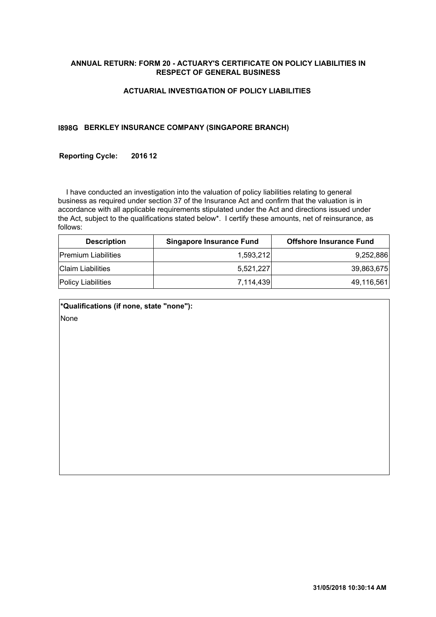#### **ANNUAL RETURN: FORM 20 - ACTUARY'S CERTIFICATE ON POLICY LIABILITIES IN RESPECT OF GENERAL BUSINESS**

#### **ACTUARIAL INVESTIGATION OF POLICY LIABILITIES**

#### **I898G BERKLEY INSURANCE COMPANY (SINGAPORE BRANCH)**

#### **Reporting Cycle: 201612**

 I have conducted an investigation into the valuation of policy liabilities relating to general business as required under section 37 of the Insurance Act and confirm that the valuation is in accordance with all applicable requirements stipulated under the Act and directions issued under the Act, subject to the qualifications stated below\*. I certify these amounts, net of reinsurance, as follows:

| <b>Description</b>         | <b>Singapore Insurance Fund</b> | <b>Offshore Insurance Fund</b> |
|----------------------------|---------------------------------|--------------------------------|
| <b>Premium Liabilities</b> | 1.593.212                       | 9,252,886                      |
| <b>Claim Liabilities</b>   | 5.521.227                       | 39,863,675                     |
| <b>Policy Liabilities</b>  | 7.114.439                       | 49,116,561                     |

| *Qualifications (if none, state "none"): |  |
|------------------------------------------|--|
| None                                     |  |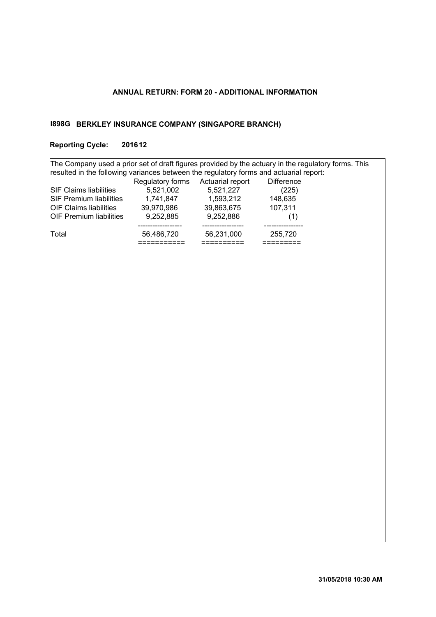## **ANNUAL RETURN: FORM 20 - ADDITIONAL INFORMATION**

#### **BERKLEY INSURANCE COMPANY (SINGAPORE BRANCH) I898G**

# **Reporting Cycle: 201612**

| The Company used a prior set of draft figures provided by the actuary in the regulatory forms. This |            |            |         |  |  |  |  |  |
|-----------------------------------------------------------------------------------------------------|------------|------------|---------|--|--|--|--|--|
| resulted in the following variances between the regulatory forms and actuarial report:              |            |            |         |  |  |  |  |  |
| Regulatory forms Actuarial report<br><b>Difference</b>                                              |            |            |         |  |  |  |  |  |
| <b>SIF Claims liabilities</b>                                                                       | 5,521,002  | 5,521,227  | (225)   |  |  |  |  |  |
| <b>SIF Premium liabilities</b><br>148,635<br>1,741,847<br>1,593,212                                 |            |            |         |  |  |  |  |  |
| <b>OIF Claims liabilities</b>                                                                       | 39,970,986 | 39,863,675 | 107,311 |  |  |  |  |  |
| <b>OIF Premium liabilities</b>                                                                      | 9,252,885  | 9,252,886  | (1)     |  |  |  |  |  |
|                                                                                                     |            |            |         |  |  |  |  |  |
| Total                                                                                               | 56,486,720 | 56,231,000 | 255,720 |  |  |  |  |  |
|                                                                                                     |            |            |         |  |  |  |  |  |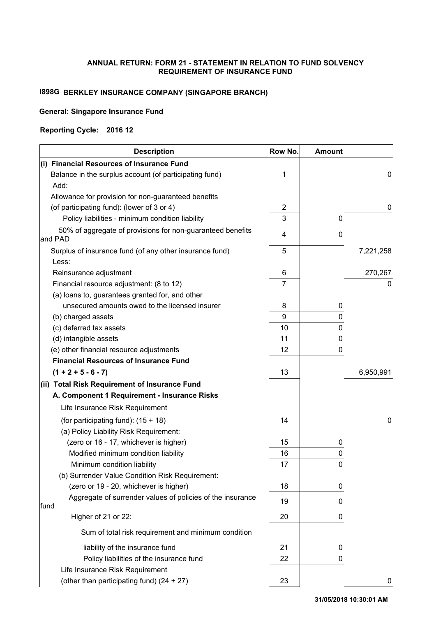#### **ANNUAL RETURN: FORM 21 - STATEMENT IN RELATION TO FUND SOLVENCY REQUIREMENT OF INSURANCE FUND**

# **I898G BERKLEY INSURANCE COMPANY (SINGAPORE BRANCH)**

#### **General: Singapore Insurance Fund**

#### **Reporting Cycle: 2016 12**

| <b>Description</b>                                                    | Row No.        | <b>Amount</b> |           |
|-----------------------------------------------------------------------|----------------|---------------|-----------|
| (i) Financial Resources of Insurance Fund                             |                |               |           |
| Balance in the surplus account (of participating fund)                | 1              |               | 0         |
| Add:                                                                  |                |               |           |
| Allowance for provision for non-guaranteed benefits                   |                |               |           |
| (of participating fund): (lower of 3 or 4)                            | 2              |               | 0         |
| Policy liabilities - minimum condition liability                      | 3              | 0             |           |
| 50% of aggregate of provisions for non-guaranteed benefits<br>and PAD | 4              | 0             |           |
| Surplus of insurance fund (of any other insurance fund)               | 5              |               | 7,221,258 |
| Less:                                                                 |                |               |           |
| Reinsurance adjustment                                                | 6              |               | 270,267   |
| Financial resource adjustment: (8 to 12)                              | $\overline{7}$ |               |           |
| (a) loans to, guarantees granted for, and other                       |                |               |           |
| unsecured amounts owed to the licensed insurer                        | 8              | 0             |           |
| (b) charged assets                                                    | 9              | 0             |           |
| (c) deferred tax assets                                               | 10             | 0             |           |
| (d) intangible assets                                                 | 11             | 0             |           |
| (e) other financial resource adjustments                              | 12             | 0             |           |
| <b>Financial Resources of Insurance Fund</b>                          |                |               |           |
| $(1 + 2 + 5 - 6 - 7)$                                                 | 13             |               | 6,950,991 |
| (ii) Total Risk Requirement of Insurance Fund                         |                |               |           |
| A. Component 1 Requirement - Insurance Risks                          |                |               |           |
| Life Insurance Risk Requirement                                       |                |               |           |
| (for participating fund): $(15 + 18)$                                 | 14             |               | 0         |
| (a) Policy Liability Risk Requirement:                                |                |               |           |
| (zero or 16 - 17, whichever is higher)                                | 15             | 0             |           |
| Modified minimum condition liability                                  | 16             | 0             |           |
| Minimum condition liability                                           | 17             | 0             |           |
| (b) Surrender Value Condition Risk Requirement:                       |                |               |           |
| (zero or 19 - 20, whichever is higher)                                | 18             | 0             |           |
| Aggregate of surrender values of policies of the insurance<br>fund    | 19             | 0             |           |
| Higher of 21 or 22:                                                   | 20             | 0             |           |
| Sum of total risk requirement and minimum condition                   |                |               |           |
| liability of the insurance fund                                       | 21             | 0             |           |
| Policy liabilities of the insurance fund                              | 22             | 0             |           |
| Life Insurance Risk Requirement                                       |                |               |           |
| (other than participating fund) (24 + 27)                             | 23             |               | 0         |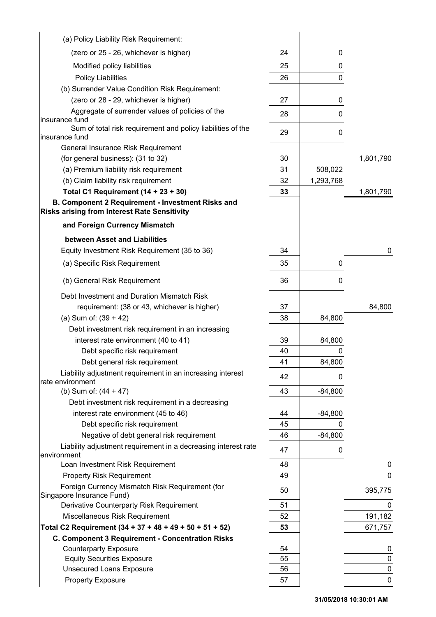| (a) Policy Liability Risk Requirement:                                                                   |    |           |             |
|----------------------------------------------------------------------------------------------------------|----|-----------|-------------|
| (zero or 25 - 26, whichever is higher)                                                                   | 24 | 0         |             |
| Modified policy liabilities                                                                              | 25 | 0         |             |
| <b>Policy Liabilities</b>                                                                                | 26 | 0         |             |
| (b) Surrender Value Condition Risk Requirement:                                                          |    |           |             |
| (zero or 28 - 29, whichever is higher)                                                                   | 27 | 0         |             |
| Aggregate of surrender values of policies of the<br>insurance fund                                       | 28 | 0         |             |
| Sum of total risk requirement and policy liabilities of the<br>insurance fund                            | 29 | 0         |             |
| General Insurance Risk Requirement                                                                       |    |           |             |
| (for general business): (31 to 32)                                                                       | 30 |           | 1,801,790   |
| (a) Premium liability risk requirement                                                                   | 31 | 508,022   |             |
| (b) Claim liability risk requirement                                                                     | 32 | 1,293,768 |             |
| Total C1 Requirement $(14 + 23 + 30)$                                                                    | 33 |           | 1,801,790   |
| B. Component 2 Requirement - Investment Risks and<br><b>Risks arising from Interest Rate Sensitivity</b> |    |           |             |
| and Foreign Currency Mismatch                                                                            |    |           |             |
| between Asset and Liabilities                                                                            |    |           |             |
| Equity Investment Risk Requirement (35 to 36)                                                            | 34 |           | 0           |
| (a) Specific Risk Requirement                                                                            | 35 | 0         |             |
| (b) General Risk Requirement                                                                             | 36 | 0         |             |
|                                                                                                          |    |           |             |
| Debt Investment and Duration Mismatch Risk                                                               |    |           |             |
| requirement: (38 or 43, whichever is higher)                                                             | 37 |           | 84,800      |
| (a) Sum of: $(39 + 42)$                                                                                  | 38 | 84,800    |             |
| Debt investment risk requirement in an increasing                                                        |    |           |             |
| interest rate environment (40 to 41)                                                                     | 39 | 84,800    |             |
| Debt specific risk requirement                                                                           | 40 | 0         |             |
| Debt general risk requirement                                                                            | 41 | 84,800    |             |
| Liability adjustment requirement in an increasing interest<br>rate environment                           | 42 | 0         |             |
| (b) Sum of: $(44 + 47)$                                                                                  | 43 | $-84,800$ |             |
| Debt investment risk requirement in a decreasing                                                         |    |           |             |
| interest rate environment (45 to 46)                                                                     | 44 | $-84,800$ |             |
| Debt specific risk requirement                                                                           | 45 | 0         |             |
| Negative of debt general risk requirement                                                                | 46 | $-84,800$ |             |
| Liability adjustment requirement in a decreasing interest rate<br>environment                            | 47 | 0         |             |
| Loan Investment Risk Requirement                                                                         | 48 |           | 0           |
| <b>Property Risk Requirement</b>                                                                         | 49 |           | 0           |
| Foreign Currency Mismatch Risk Requirement (for<br>Singapore Insurance Fund)                             | 50 |           | 395,775     |
| Derivative Counterparty Risk Requirement                                                                 | 51 |           |             |
| Miscellaneous Risk Requirement                                                                           | 52 |           | 191,182     |
| Total C2 Requirement (34 + 37 + 48 + 49 + 50 + 51 + 52)                                                  | 53 |           | 671,757     |
| C. Component 3 Requirement - Concentration Risks                                                         |    |           |             |
| <b>Counterparty Exposure</b>                                                                             | 54 |           |             |
| <b>Equity Securities Exposure</b>                                                                        | 55 |           | 0           |
| <b>Unsecured Loans Exposure</b>                                                                          | 56 |           | $\pmb{0}$   |
| <b>Property Exposure</b>                                                                                 | 57 |           | $\mathbf 0$ |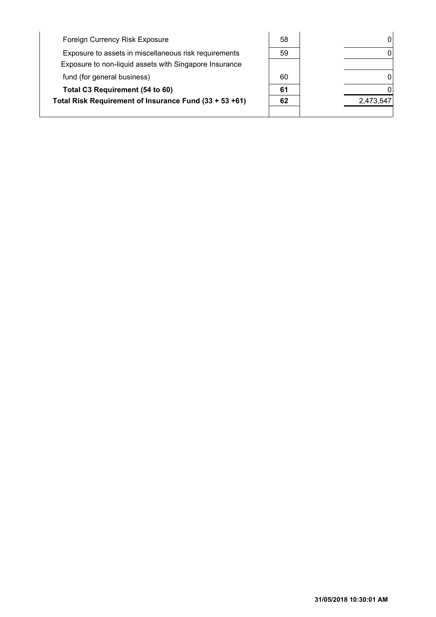| Foreign Currency Risk Exposure                         | 58 |           |
|--------------------------------------------------------|----|-----------|
| Exposure to assets in miscellaneous risk requirements  | 59 |           |
| Exposure to non-liquid assets with Singapore Insurance |    |           |
| fund (for general business)                            | 60 |           |
| Total C3 Requirement (54 to 60)                        | 61 |           |
| Total Risk Requirement of Insurance Fund (33 + 53 +61) | 62 | 2,473,547 |
|                                                        |    |           |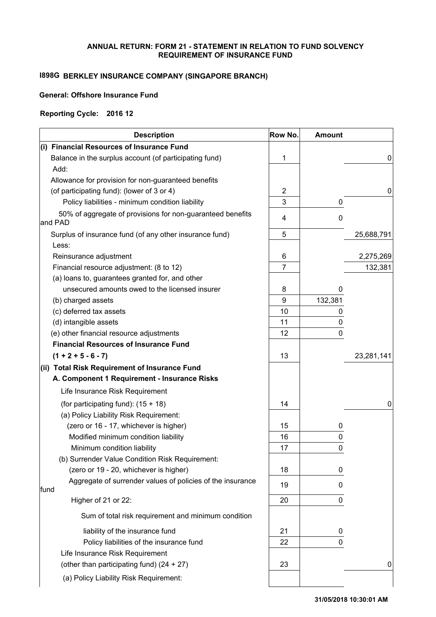#### **ANNUAL RETURN: FORM 21 - STATEMENT IN RELATION TO FUND SOLVENCY REQUIREMENT OF INSURANCE FUND**

# **I898G BERKLEY INSURANCE COMPANY (SINGAPORE BRANCH)**

## **General: Offshore Insurance Fund**

#### **Reporting Cycle: 2016 12**

|      | <b>Description</b>                                                    | Row No. | <b>Amount</b> |            |
|------|-----------------------------------------------------------------------|---------|---------------|------------|
|      | (i) Financial Resources of Insurance Fund                             |         |               |            |
|      | Balance in the surplus account (of participating fund)                | 1       |               | 0          |
|      | Add:                                                                  |         |               |            |
|      | Allowance for provision for non-guaranteed benefits                   |         |               |            |
|      | (of participating fund): (lower of 3 or 4)                            | 2       |               | 0          |
|      | Policy liabilities - minimum condition liability                      | 3       | 0             |            |
|      | 50% of aggregate of provisions for non-guaranteed benefits<br>and PAD | 4       | 0             |            |
|      | Surplus of insurance fund (of any other insurance fund)               | 5       |               | 25,688,791 |
|      | Less:                                                                 |         |               |            |
|      | Reinsurance adjustment                                                | 6       |               | 2,275,269  |
|      | Financial resource adjustment: (8 to 12)                              | 7       |               | 132,381    |
|      | (a) loans to, guarantees granted for, and other                       |         |               |            |
|      | unsecured amounts owed to the licensed insurer                        | 8       | 0             |            |
|      | (b) charged assets                                                    | 9       | 132,381       |            |
|      | (c) deferred tax assets                                               | 10      | 0             |            |
|      | (d) intangible assets                                                 | 11      | 0             |            |
|      | (e) other financial resource adjustments                              | 12      | 0             |            |
|      | <b>Financial Resources of Insurance Fund</b>                          |         |               |            |
|      | $(1 + 2 + 5 - 6 - 7)$                                                 | 13      |               | 23,281,141 |
|      | (ii) Total Risk Requirement of Insurance Fund                         |         |               |            |
|      | A. Component 1 Requirement - Insurance Risks                          |         |               |            |
|      | Life Insurance Risk Requirement                                       |         |               |            |
|      | (for participating fund): $(15 + 18)$                                 | 14      |               | 0          |
|      | (a) Policy Liability Risk Requirement:                                |         |               |            |
|      | (zero or 16 - 17, whichever is higher)                                | 15      | 0             |            |
|      | Modified minimum condition liability                                  | 16      | 0             |            |
|      | Minimum condition liability                                           | 17      | 0             |            |
|      | (b) Surrender Value Condition Risk Requirement:                       |         |               |            |
|      | (zero or 19 - 20, whichever is higher)                                | 18      | 0             |            |
| fund | Aggregate of surrender values of policies of the insurance            | 19      | 0             |            |
|      | Higher of 21 or 22:                                                   | 20      | 0             |            |
|      | Sum of total risk requirement and minimum condition                   |         |               |            |
|      | liability of the insurance fund                                       | 21      | 0             |            |
|      | Policy liabilities of the insurance fund                              | 22      | 0             |            |
|      | Life Insurance Risk Requirement                                       |         |               |            |
|      | (other than participating fund) (24 + 27)                             | 23      |               | 0          |
|      | (a) Policy Liability Risk Requirement:                                |         |               |            |
|      |                                                                       |         |               |            |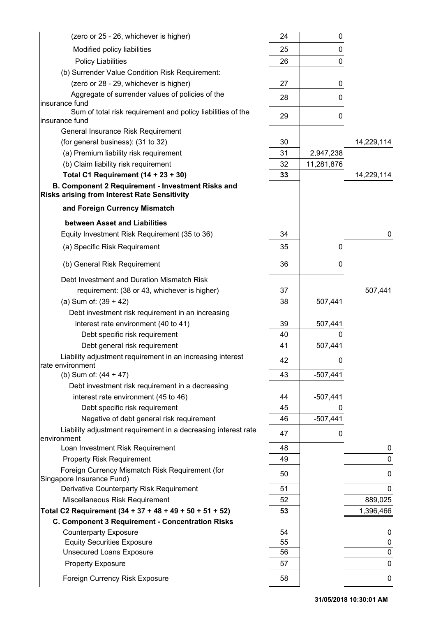| (zero or 25 - 26, whichever is higher)                                                                          | 24 | 0          |             |
|-----------------------------------------------------------------------------------------------------------------|----|------------|-------------|
| Modified policy liabilities                                                                                     | 25 | 0          |             |
| <b>Policy Liabilities</b>                                                                                       | 26 | 0          |             |
| (b) Surrender Value Condition Risk Requirement:                                                                 |    |            |             |
| (zero or 28 - 29, whichever is higher)                                                                          | 27 | 0          |             |
| Aggregate of surrender values of policies of the                                                                | 28 | 0          |             |
| insurance fund                                                                                                  |    |            |             |
| Sum of total risk requirement and policy liabilities of the<br>insurance fund                                   | 29 | 0          |             |
| General Insurance Risk Requirement                                                                              |    |            |             |
| (for general business): (31 to 32)                                                                              | 30 |            | 14,229,114  |
| (a) Premium liability risk requirement                                                                          | 31 | 2,947,238  |             |
| (b) Claim liability risk requirement                                                                            | 32 | 11,281,876 |             |
| Total C1 Requirement $(14 + 23 + 30)$                                                                           | 33 |            | 14,229,114  |
| <b>B. Component 2 Requirement - Investment Risks and</b><br><b>Risks arising from Interest Rate Sensitivity</b> |    |            |             |
| and Foreign Currency Mismatch                                                                                   |    |            |             |
| between Asset and Liabilities                                                                                   |    |            |             |
| Equity Investment Risk Requirement (35 to 36)                                                                   | 34 |            | 0           |
| (a) Specific Risk Requirement                                                                                   | 35 | 0          |             |
| (b) General Risk Requirement                                                                                    | 36 | 0          |             |
| Debt Investment and Duration Mismatch Risk                                                                      |    |            |             |
| requirement: (38 or 43, whichever is higher)                                                                    | 37 |            | 507,441     |
| (a) Sum of: $(39 + 42)$                                                                                         | 38 | 507,441    |             |
| Debt investment risk requirement in an increasing                                                               |    |            |             |
| interest rate environment (40 to 41)                                                                            | 39 | 507,441    |             |
| Debt specific risk requirement                                                                                  | 40 | 0          |             |
| Debt general risk requirement                                                                                   | 41 | 507,441    |             |
| Liability adjustment requirement in an increasing interest<br>rate environment                                  | 42 | 0          |             |
| (b) Sum of: $(44 + 47)$                                                                                         | 43 | $-507,441$ |             |
| Debt investment risk requirement in a decreasing                                                                |    |            |             |
| interest rate environment (45 to 46)                                                                            | 44 | $-507,441$ |             |
| Debt specific risk requirement                                                                                  | 45 | 0          |             |
| Negative of debt general risk requirement                                                                       | 46 | $-507,441$ |             |
| Liability adjustment requirement in a decreasing interest rate<br>environment                                   | 47 | 0          |             |
| Loan Investment Risk Requirement                                                                                | 48 |            | 0           |
| <b>Property Risk Requirement</b>                                                                                | 49 |            | 0           |
| Foreign Currency Mismatch Risk Requirement (for<br>Singapore Insurance Fund)                                    | 50 |            | 0           |
| Derivative Counterparty Risk Requirement                                                                        | 51 |            | 0           |
| Miscellaneous Risk Requirement                                                                                  | 52 |            | 889,025     |
| Total C2 Requirement (34 + 37 + 48 + 49 + 50 + 51 + 52)                                                         | 53 |            | 1,396,466   |
| C. Component 3 Requirement - Concentration Risks                                                                |    |            |             |
| <b>Counterparty Exposure</b>                                                                                    | 54 |            | 0           |
| <b>Equity Securities Exposure</b>                                                                               | 55 |            | 0           |
| <b>Unsecured Loans Exposure</b>                                                                                 | 56 |            | $\mathbf 0$ |
| <b>Property Exposure</b>                                                                                        | 57 |            | 0           |
| Foreign Currency Risk Exposure                                                                                  | 58 |            | 0           |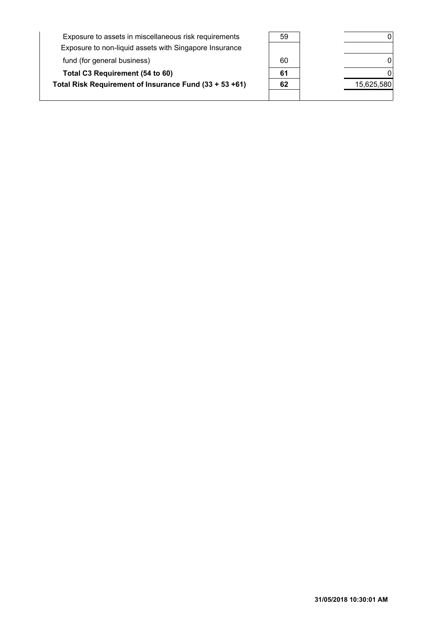| Exposure to assets in miscellaneous risk requirements<br>Exposure to non-liquid assets with Singapore Insurance | 59 |            |
|-----------------------------------------------------------------------------------------------------------------|----|------------|
| fund (for general business)                                                                                     | 60 |            |
| Total C3 Requirement (54 to 60)                                                                                 | 61 |            |
| Total Risk Requirement of Insurance Fund (33 + 53 +61)                                                          | 62 | 15,625,580 |
|                                                                                                                 |    |            |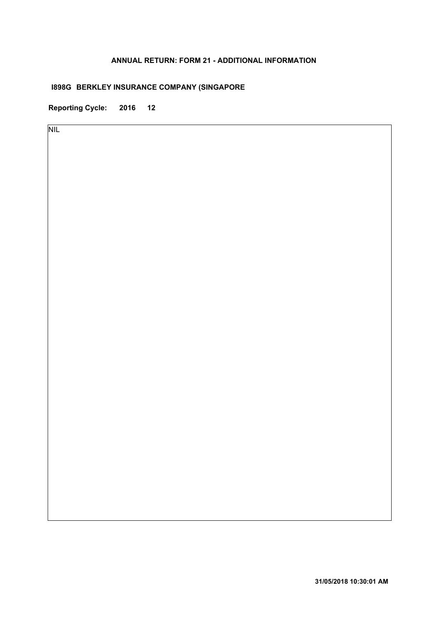## **ANNUAL RETURN: FORM 21 - ADDITIONAL INFORMATION**

# **I898G BERKLEY INSURANCE COMPANY (SINGAPORE**

**Reporting Cycle: 2016 12**

NIL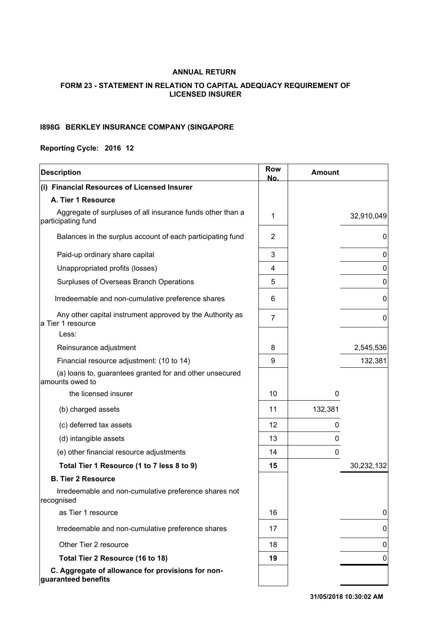### **ANNUAL RETURN**

### **FORM 23 - STATEMENT IN RELATION TO CAPITAL ADEQUACY REQUIREMENT OF LICENSED INSURER**

#### **BERKLEY INSURANCE COMPANY (SINGAPORE I898G**

### **Reporting Cycle: 2016 12**

| <b>Description</b>                                                               | <b>Row</b><br>No. | <b>Amount</b> |            |
|----------------------------------------------------------------------------------|-------------------|---------------|------------|
| (i) Financial Resources of Licensed Insurer                                      |                   |               |            |
| A. Tier 1 Resource                                                               |                   |               |            |
| Aggregate of surpluses of all insurance funds other than a<br>participating fund | 1                 |               | 32,910,049 |
| Balances in the surplus account of each participating fund                       | 2                 |               | 0          |
| Paid-up ordinary share capital                                                   | 3                 |               | 0          |
| Unappropriated profits (losses)                                                  | 4                 |               | 0          |
| Surpluses of Overseas Branch Operations                                          | 5                 |               | 0          |
| Irredeemable and non-cumulative preference shares                                | 6                 |               | 0          |
| Any other capital instrument approved by the Authority as<br>a Tier 1 resource   | $\overline{7}$    |               | 0          |
| Less:                                                                            |                   |               |            |
| Reinsurance adjustment                                                           | 8                 |               | 2,545,536  |
| Financial resource adjustment: (10 to 14)                                        | 9                 |               | 132,381    |
| (a) loans to, guarantees granted for and other unsecured<br>amounts owed to      |                   |               |            |
| the licensed insurer                                                             | 10                | 0             |            |
| (b) charged assets                                                               | 11                | 132,381       |            |
| (c) deferred tax assets                                                          | 12                | 0             |            |
| (d) intangible assets                                                            | 13                | 0             |            |
| (e) other financial resource adjustments                                         | 14                | 0             |            |
| Total Tier 1 Resource (1 to 7 less 8 to 9)                                       | 15                |               | 30,232,132 |
| <b>B. Tier 2 Resource</b>                                                        |                   |               |            |
| Irredeemable and non-cumulative preference shares not<br>recognised              |                   |               |            |
| as Tier 1 resource                                                               | 16                |               | 0          |
| Irredeemable and non-cumulative preference shares                                | 17                |               | 0          |
| Other Tier 2 resource                                                            | 18                |               | 0          |
| Total Tier 2 Resource (16 to 18)                                                 | 19                |               | 0          |
| C. Aggregate of allowance for provisions for non-<br>guaranteed benefits         |                   |               |            |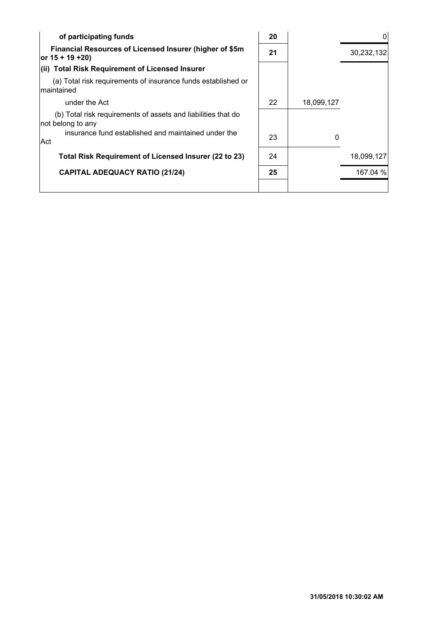| of participating funds                                                             | 20 |            |            |
|------------------------------------------------------------------------------------|----|------------|------------|
| Financial Resources of Licensed Insurer (higher of \$5m<br>or $15 + 19 + 20$       | 21 |            | 30,232,132 |
| (ii) Total Risk Requirement of Licensed Insurer                                    |    |            |            |
| (a) Total risk requirements of insurance funds established or<br>Imaintained       |    |            |            |
| under the Act                                                                      | 22 | 18,099,127 |            |
| (b) Total risk requirements of assets and liabilities that do<br>not belong to any |    |            |            |
| insurance fund established and maintained under the<br>Act                         | 23 | 0          |            |
| Total Risk Requirement of Licensed Insurer (22 to 23)                              | 24 |            | 18,099,127 |
| <b>CAPITAL ADEQUACY RATIO (21/24)</b>                                              | 25 |            | 167.04 %   |
|                                                                                    |    |            |            |